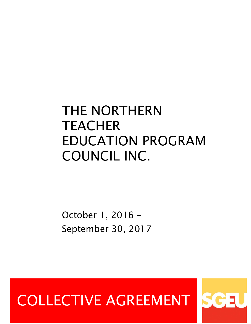# THE NORTHERN **TEACHER** EDUCATION PROGRAM COUNCIL INC.

October 1, 2016 – September 30, 2017

# COLLECTIVE AGREEMENT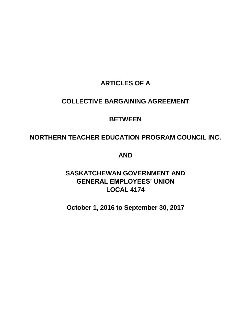# **ARTICLES OF A**

## **COLLECTIVE BARGAINING AGREEMENT**

# **BETWEEN**

# **NORTHERN TEACHER EDUCATION PROGRAM COUNCIL INC.**

**AND** 

**SASKATCHEWAN GOVERNMENT AND GENERAL EMPLOYEES' UNION LOCAL 4174**

**October 1, 2016 to September 30, 2017**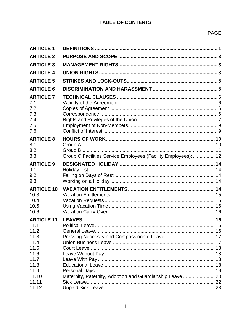## **TABLE OF CONTENTS**

## PAGE

| <b>ARTICLE 1</b>                                                                                   |                                                                |  |
|----------------------------------------------------------------------------------------------------|----------------------------------------------------------------|--|
| <b>ARTICLE 2</b>                                                                                   |                                                                |  |
| <b>ARTICLE 3</b>                                                                                   |                                                                |  |
| <b>ARTICLE 4</b>                                                                                   |                                                                |  |
| <b>ARTICLE 5</b>                                                                                   |                                                                |  |
| <b>ARTICLE 6</b>                                                                                   |                                                                |  |
| <b>ARTICLE 7</b><br>7.1<br>7.2<br>7.3<br>7.4<br>7.5<br>7.6                                         |                                                                |  |
| <b>ARTICLE 8</b><br>8.1<br>8.2<br>8.3                                                              | Group C Facilities Service Employees (Facility Employees):  12 |  |
| <b>ARTICLE 9</b><br>9.1<br>9.2<br>9.3                                                              |                                                                |  |
| <b>ARTICLE 10</b><br>10.3<br>10.4<br>10.5<br>10.6                                                  |                                                                |  |
| <b>ARTICLE 11</b><br>11.1<br>11.2<br>11.3<br>11.4<br>11.5<br>11.6<br>11.7<br>11.8<br>11.9<br>11.10 |                                                                |  |
| 11.11<br>11.12                                                                                     | Maternity, Paternity, Adoption and Guardianship Leave  20      |  |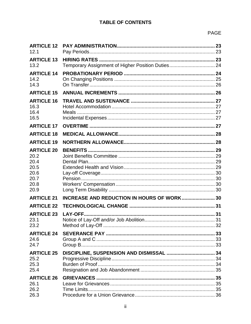## **TABLE OF CONTENTS**

| <b>ARTICLE 12</b><br>12.1                                                 |                                                   |  |
|---------------------------------------------------------------------------|---------------------------------------------------|--|
| <b>ARTICLE 13</b><br>13.2                                                 | Temporary Assignment of Higher Position Duties 24 |  |
| <b>ARTICLE 14</b><br>14.2<br>14.3                                         |                                                   |  |
| <b>ARTICLE 15</b>                                                         |                                                   |  |
| <b>ARTICLE 16</b><br>16.3<br>16.4<br>16.5                                 |                                                   |  |
| <b>ARTICLE 17</b>                                                         |                                                   |  |
| <b>ARTICLE 18</b>                                                         |                                                   |  |
| <b>ARTICLE 19</b>                                                         |                                                   |  |
| <b>ARTICLE 20</b><br>20.2<br>20.4<br>20.5<br>20.6<br>20.7<br>20.8<br>20.9 |                                                   |  |
| <b>ARTICLE 21</b>                                                         | INCREASE AND REDUCTION IN HOURS OF WORK 30        |  |
| <b>ARTICLE 22</b>                                                         |                                                   |  |
| <b>ARTICLE 23</b><br>23.1<br>23.2                                         |                                                   |  |
| <b>ARTICLE 24</b><br>24.6<br>24.7                                         |                                                   |  |
| <b>ARTICLE 25</b><br>25.2<br>25.3<br>25.4                                 |                                                   |  |
| <b>ARTICLE 26</b><br>26.1<br>26.2<br>26.3                                 |                                                   |  |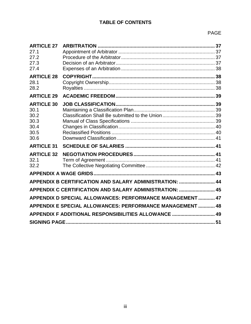## **TABLE OF CONTENTS**

| <b>ARTICLE 27</b><br>27.1<br>27.2<br>27.3<br>27.4                 |                                                           |  |  |  |  |
|-------------------------------------------------------------------|-----------------------------------------------------------|--|--|--|--|
| <b>ARTICLE 28</b><br>28.1<br>28.2                                 |                                                           |  |  |  |  |
| <b>ARTICLE 29</b>                                                 |                                                           |  |  |  |  |
| <b>ARTICLE 30</b><br>30.1<br>30.2<br>30.3<br>30.4<br>30.5<br>30.6 |                                                           |  |  |  |  |
| <b>ARTICLE 31</b>                                                 |                                                           |  |  |  |  |
| <b>ARTICLE 32</b><br>32.1<br>32.2                                 |                                                           |  |  |  |  |
|                                                                   |                                                           |  |  |  |  |
|                                                                   | APPENDIX B CERTIFICATION AND SALARY ADMINISTRATION:  44   |  |  |  |  |
|                                                                   | APPENDIX C CERTIFICATION AND SALARY ADMINISTRATION:  45   |  |  |  |  |
|                                                                   | APPENDIX D SPECIAL ALLOWANCES: PERFORMANCE MANAGEMENT  47 |  |  |  |  |
|                                                                   | APPENDIX E SPECIAL ALLOWANCES: PERFORMANCE MANAGEMENT  48 |  |  |  |  |
| APPENDIX F ADDITIONAL RESPONSIBILITIES ALLOWANCE  49              |                                                           |  |  |  |  |
|                                                                   |                                                           |  |  |  |  |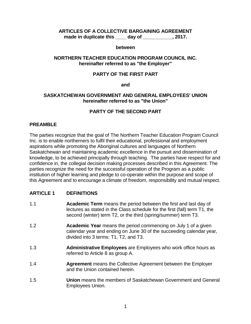#### **ARTICLES OF A COLLECTIVE BARGAINING AGREEMENT made in duplicate this \_\_\_\_ day of \_\_\_\_\_\_\_\_\_\_\_, 2017.**

#### **between**

## **NORTHERN TEACHER EDUCATION PROGRAM COUNCIL INC. hereinafter referred to as "the Employer"**

#### **PARTY OF THE FIRST PART**

**and**

## **SASKATCHEWAN GOVERNMENT AND GENERAL EMPLOYEES' UNION hereinafter referred to as "the Union"**

## **PARTY OF THE SECOND PART**

## **PREAMBLE**

The parties recognize that the goal of The Northern Teacher Education Program Council Inc. is to enable northerners to fulfil their educational, professional and employment aspirations while promoting the Aboriginal cultures and languages of Northern Saskatchewan and maintaining academic excellence in the pursuit and dissemination of knowledge, to be achieved principally through teaching. The parties have respect for and confidence in, the collegial decision making processes described in this Agreement. The parties recognize the need for the successful operation of the Program as a public institution of higher learning and pledge to co-operate within the purpose and scope of this Agreement and to encourage a climate of freedom, responsibility and mutual respect.

## <span id="page-5-0"></span>**ARTICLE 1 DEFINITIONS**

- 1.1 **Academic Term** means the period between the first and last day of lectures as stated in the Class schedule for the first (fall) term T1, the second (winter) term T2, or the third (spring/summer) term T3.
- 1.2 **Academic Year** means the period commencing on July 1 of a given calendar year and ending on June 30 of the succeeding calendar year, divided into 3 terms: T1, T2, and T3.
- 1.3 **Administrative Employees** are Employees who work office hours as referred to Article 8 as group A.
- 1.4 **Agreement** means the Collective Agreement between the Employer and the Union contained herein.
- 1.5 **Union** means the members of Saskatchewan Government and General Employees Union.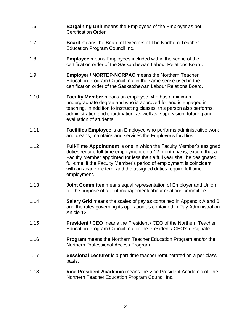- 1.6 **Bargaining Unit** means the Employees of the Employer as per Certification Order.
- 1.7 **Board** means the Board of Directors of The Northern Teacher Education Program Council Inc.
- 1.8 **Employee** means Employees included within the scope of the certification order of the Saskatchewan Labour Relations Board.
- 1.9 **Employer / NORTEP-NORPAC** means the Northern Teacher Education Program Council Inc. in the same sense used in the certification order of the Saskatchewan Labour Relations Board.
- 1.10 **Faculty Member** means an employee who has a minimum undergraduate degree and who is approved for and is engaged in teaching. In addition to instructing classes, this person also performs, administration and coordination, as well as, supervision, tutoring and evaluation of students.
- 1.11 **Facilities Employee** is an Employee who performs administrative work and cleans, maintains and services the Employer's facilities.
- 1.12 **Full-Time Appointment** is one in which the Faculty Member's assigned duties require full-time employment on a 12-month basis, except that a Faculty Member appointed for less than a full year shall be designated full-time, if the Faculty Member's period of employment is coincident with an academic term and the assigned duties require full-time employment.
- 1.13 **Joint Committee** means equal representation of Employer and Union for the purpose of a joint management/labour relations committee.
- 1.14 **Salary Grid** means the scales of pay as contained in Appendix A and B and the rules governing its operation as contained in Pay Administration Article 12.
- 1.15 **President / CEO** means the President / CEO of the Northern Teacher Education Program Council Inc. or the President / CEO's designate.
- 1.16 **Program** means the Northern Teacher Education Program and/or the Northern Professional Access Program.
- 1.17 **Sessional Lecturer** is a part-time teacher remunerated on a per-class basis.
- 1.18 **Vice President Academic** means the Vice President Academic of The Northern Teacher Education Program Council Inc.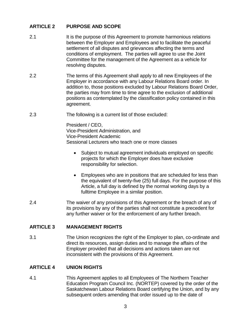## <span id="page-7-0"></span>**ARTICLE 2 PURPOSE AND SCOPE**

- 2.1 It is the purpose of this Agreement to promote harmonious relations between the Employer and Employees and to facilitate the peaceful settlement of all disputes and grievances affecting the terms and conditions of employment. The parties will agree to use the Joint Committee for the management of the Agreement as a vehicle for resolving disputes.
- 2.2 The terms of this Agreement shall apply to all new Employees of the Employer in accordance with any Labour Relations Board order. In addition to, those positions excluded by Labour Relations Board Order, the parties may from time to time agree to the exclusion of additional positions as contemplated by the classification policy contained in this agreement.
- 2.3 The following is a current list of those excluded:

President / CEO, Vice-President Administration, and Vice-President Academic Sessional Lecturers who teach one or more classes

- Subject to mutual agreement individuals employed on specific projects for which the Employer does have exclusive responsibility for selection.
- Employees who are in positions that are scheduled for less than the equivalent of twenty-five (25) full days. For the purpose of this Article, a full day is defined by the normal working days by a fulltime Employee in a similar position.
- 2.4 The waiver of any provisions of this Agreement or the breach of any of its provisions by any of the parties shall not constitute a precedent for any further waiver or for the enforcement of any further breach.

## <span id="page-7-1"></span>**ARTICLE 3 MANAGEMENT RIGHTS**

3.1 The Union recognizes the right of the Employer to plan, co-ordinate and direct its resources, assign duties and to manage the affairs of the Employer provided that all decisions and actions taken are not inconsistent with the provisions of this Agreement.

## <span id="page-7-2"></span>**ARTICLE 4 UNION RIGHTS**

4.1 This Agreement applies to all Employees of The Northern Teacher Education Program Council Inc. (NORTEP) covered by the order of the Saskatchewan Labour Relations Board certifying the Union, and by any subsequent orders amending that order issued up to the date of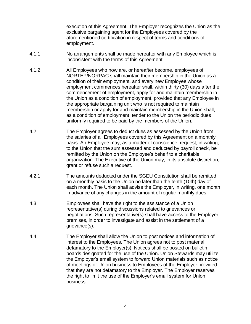execution of this Agreement. The Employer recognizes the Union as the exclusive bargaining agent for the Employees covered by the aforementioned certification in respect of terms and conditions of employment.

- 4.1.1 No arrangements shall be made hereafter with any Employee which is inconsistent with the terms of this Agreement.
- 4.1.2 All Employees who now are, or hereafter become, employees of NORTEP/NORPAC shall maintain their membership in the Union as a condition of their employment, and every new Employee whose employment commences hereafter shall, within thirty (30) days after the commencement of employment, apply for and maintain membership in the Union as a condition of employment, provided that any Employee in the appropriate bargaining unit who is not required to maintain membership or apply for and maintain membership in the Union shall, as a condition of employment, tender to the Union the periodic dues uniformly required to be paid by the members of the Union.
- 4.2 The Employer agrees to deduct dues as assessed by the Union from the salaries of all Employees covered by this Agreement on a monthly basis. An Employee may, as a matter of conscience, request, in writing, to the Union that the sum assessed and deducted by payroll check, be remitted by the Union on the Employee's behalf to a charitable organization. The Executive of the Union may, in its absolute discretion, grant or refuse such a request.
- 4.2.1 The amounts deducted under the SGEU Constitution shall be remitted on a monthly basis to the Union no later than the tenth (10th) day of each month. The Union shall advise the Employer, in writing, one month in advance of any changes in the amount of regular monthly dues.
- 4.3 Employees shall have the right to the assistance of a Union representative(s) during discussions related to grievances or negotiations. Such representative(s) shall have access to the Employer premises, in order to investigate and assist in the settlement of a grievance(s).
- 4.4 The Employer shall allow the Union to post notices and information of interest to the Employees. The Union agrees not to post material defamatory to the Employer(s). Notices shall be posted on bulletin boards designated for the use of the Union. Union Stewards may utilize the Employer's email system to forward Union materials such as notice of meetings or Union business to Employees of the Employer provided that they are not defamatory to the Employer. The Employer reserves the right to limit the use of the Employer's email system for Union business.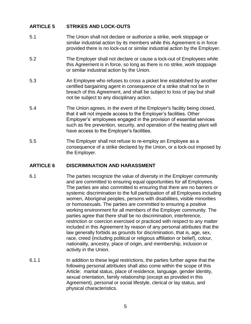## <span id="page-9-0"></span>**ARTICLE 5 STRIKES AND LOCK-OUTS**

- 5.1 The Union shall not declare or authorize a strike, work stoppage or similar industrial action by its members while this Agreement is in force provided there is no lock-out or similar industrial action by the Employer.
- 5.2 The Employer shall not declare or cause a lock-out of Employees while this Agreement is in force, so long as there is no strike, work stoppage or similar industrial action by the Union.
- 5.3 An Employee who refuses to cross a picket line established by another certified bargaining agent in consequence of a strike shall not be in breach of this Agreement, and shall be subject to loss of pay but shall not be subject to any disciplinary action.
- 5.4 The Union agrees, in the event of the Employer's facility being closed, that it will not impede access to the Employer's facilities. Other Employer's' employees engaged in the provision of essential services such as fire prevention, security, and operation of the heating plant will have access to the Employer's facilities.
- 5.5 The Employer shall not refuse to re-employ an Employee as a consequence of a strike declared by the Union, or a lock-out imposed by the Employer.

## <span id="page-9-1"></span>**ARTICLE 6 DISCRIMINATION AND HARASSMENT**

- 6.1 The parties recognize the value of diversity in the Employer community and are committed to ensuring equal opportunities for all Employees. The parties are also committed to ensuring that there are no barriers or systemic discrimination to the full participation of all Employees including women, Aboriginal peoples, persons with disabilities, visible minorities or homosexuals. The parties are committed to ensuring a positive working environment for all members of the Employer community. The parties agree that there shall be no discrimination, interference, restriction or coercion exercised or practiced with respect to any matter included in this Agreement by reason of any personal attributes that the law generally forbids as grounds for discrimination, that is, age, sex, race, creed (including political or religious affiliation or belief), colour, nationality, ancestry, place of origin, and membership, inclusion or activity in the Union.
- 6.1.1 In addition to these legal restrictions, the parties further agree that the following personal attributes shall also come within the scope of this Article: marital status, place of residence, language, gender identity, sexual orientation, family relationship (except as provided in this Agreement), personal or social lifestyle, clerical or lay status, and physical characteristics.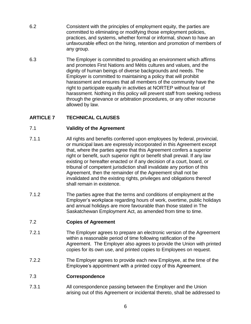- 6.2 Consistent with the principles of employment equity, the parties are committed to eliminating or modifying those employment policies, practices, and systems, whether formal or informal, shown to have an unfavourable effect on the hiring, retention and promotion of members of any group.
- 6.3 The Employer is committed to providing an environment which affirms and promotes First Nations and Métis cultures and values, and the dignity of human beings of diverse backgrounds and needs. The Employer is committed to maintaining a policy that will prohibit harassment and ensures that all members of the community have the right to participate equally in activities at NORTEP without fear of harassment. Nothing in this policy will prevent staff from seeking redress through the grievance or arbitration procedures, or any other recourse allowed by law.

## <span id="page-10-0"></span>**ARTICLE 7 TECHNICAL CLAUSES**

## <span id="page-10-1"></span>7.1 **Validity of the Agreement**

- 7.1.1 All rights and benefits conferred upon employees by federal, provincial, or municipal laws are expressly incorporated in this Agreement except that, where the parties agree that this Agreement confers a superior right or benefit, such superior right or benefit shall prevail. If any law existing or hereafter enacted or if any decision of a court, board, or tribunal of competent jurisdiction shall invalidate any portion of this Agreement, then the remainder of the Agreement shall not be invalidated and the existing rights, privileges and obligations thereof shall remain in existence.
- 7.1.2 The parties agree that the terms and conditions of employment at the Employer's workplace regarding hours of work, overtime, public holidays and annual holidays are more favourable than those stated in The Saskatchewan Employment Act, as amended from time to time.

## <span id="page-10-2"></span>7.2 **Copies of Agreement**

- 7.2.1 The Employer agrees to prepare an electronic version of the Agreement within a reasonable period of time following ratification of the Agreement. The Employer also agrees to provide the Union with printed copies for its own use, and printed copies to Employees on request.
- 7.2.2 The Employer agrees to provide each new Employee, at the time of the Employee's appointment with a printed copy of this Agreement.

## <span id="page-10-3"></span>7.3 **Correspondence**

7.3.1 All correspondence passing between the Employer and the Union arising out of this Agreement or incidental thereto, shall be addressed to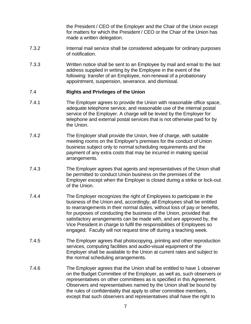the President / CEO of the Employer and the Chair of the Union except for matters for which the President / CEO or the Chair of the Union has made a written delegation.

- 7.3.2 Internal mail service shall be considered adequate for ordinary purposes of notification.
- 7.3.3 Written notice shall be sent to an Employee by mail and email to the last address supplied in writing by the Employee in the event of the following: transfer of an Employee, non-renewal of a probationary appointment, suspension, severance, and dismissal.

## <span id="page-11-0"></span>7.4 **Rights and Privileges of the Union**

- 7.4.1 The Employer agrees to provide the Union with reasonable office space, adequate telephone service, and reasonable use of the internal postal service of the Employer. A charge will be levied by the Employer for telephone and external postal services that is not otherwise paid for by the Union.
- 7.4.2 The Employer shall provide the Union, free of charge, with suitable meeting rooms on the Employer's premises for the conduct of Union business subject only to normal scheduling requirements and the payment of any extra costs that may be incurred in making special arrangements.
- 7.4.3 The Employer agrees that agents and representatives of the Union shall be permitted to conduct Union business on the premises of the Employer except when the Employer is closed during a strike or lock-out of the Union.
- 7.4.4 The Employer recognizes the right of Employees to participate in the business of the Union and, accordingly, all Employees shall be entitled to rearrangements in their normal duties, without loss of pay or benefits, for purposes of conducting the business of the Union, provided that satisfactory arrangements can be made with, and are approved by, the Vice President in charge to fulfil the responsibilities of Employees so engaged. Faculty will not request time off during a teaching week.
- 7.4.5 The Employer agrees that photocopying, printing and other reproduction services, computing facilities and audio-visual equipment of the Employer shall be available to the Union at current rates and subject to the normal scheduling arrangements.
- 7.4.6 The Employer agrees that the Union shall be entitled to have 1 observer on the Budget Committee of the Employer, as well as, such observers or representatives on other committees as is specified in this Agreement. Observers and representatives named by the Union shall be bound by the rules of confidentiality that apply to other committee members, except that such observers and representatives shall have the right to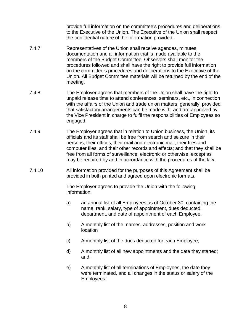provide full information on the committee's procedures and deliberations to the Executive of the Union. The Executive of the Union shall respect the confidential nature of the information provided.

- 7.4.7 Representatives of the Union shall receive agendas, minutes, documentation and all information that is made available to the members of the Budget Committee. Observers shall monitor the procedures followed and shall have the right to provide full information on the committee's procedures and deliberations to the Executive of the Union. All Budget Committee materials will be returned by the end of the meeting.
- 7.4.8 The Employer agrees that members of the Union shall have the right to unpaid release time to attend conferences, seminars, etc., in connection with the affairs of the Union and trade union matters, generally, provided that satisfactory arrangements can be made with, and are approved by, the Vice President in charge to fulfil the responsibilities of Employees so engaged.
- 7.4.9 The Employer agrees that in relation to Union business, the Union, its officials and its staff shall be free from search and seizure in their persons, their offices, their mail and electronic mail, their files and computer files, and their other records and effects; and that they shall be free from all forms of surveillance, electronic or otherwise, except as may be required by and in accordance with the procedures of the law.
- 7.4.10 All information provided for the purposes of this Agreement shall be provided in both printed and agreed upon electronic formats.

The Employer agrees to provide the Union with the following information:

- a) an annual list of all Employees as of October 30, containing the name, rank, salary, type of appointment, dues deducted, department, and date of appointment of each Employee.
- b) A monthly list of the names, addresses, position and work location
- c) A monthly list of the dues deducted for each Employee;
- d) A monthly list of all new appointments and the date they started; and,
- e) A monthly list of all terminations of Employees, the date they were terminated, and all changes in the status or salary of the Employees;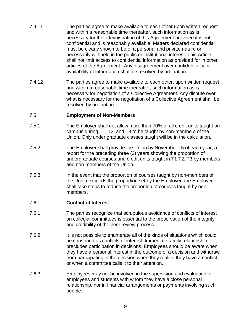- 7.4.11 The parties agree to make available to each other upon written request and within a reasonable time thereafter, such information as is necessary for the administration of this Agreement provided it is not confidential and is reasonably available. Matters declared confidential must be clearly shown to be of a personal and private nature or necessarily withheld in the public or institutional interest. This Article shall not limit access to confidential information as provided for in other articles of the Agreement. Any disagreement over confidentiality or availability of information shall be resolved by arbitration.
- 7.4.12 The parties agree to make available to each other, upon written request and within a reasonable time thereafter, such information as is necessary for negotiation of a Collective Agreement. Any dispute over what is necessary for the negotiation of a Collective Agreement shall be resolved by arbitration.

#### <span id="page-13-0"></span>7.5 **Employment of Non-Members**

- 7.5.1 The Employer shall not allow more than 70% of all credit units taught on campus during T1, T2, and T3 to be taught by non-members of the Union. Only under graduate classes taught will be in the calculation.
- 7.5.2 The Employer shall provide the Union by November 15 of each year, a report for the preceding three (3) years showing the proportion of undergraduate courses and credit units taught in T1 T2, T3 by members and non-members of the Union.
- 7.5.3 In the event that the proportion of courses taught by non-members of the Union exceeds the proportion set by the Employer, the Employer shall take steps to reduce the proportion of courses taught by nonmembers.

#### <span id="page-13-1"></span>7.6 **Conflict of Interest**

- 7.6.1 The parties recognize that scrupulous avoidance of conflicts of interest on collegial committees is essential to the preservation of the integrity and credibility of the peer review process.
- 7.6.2 It is not possible to enumerate all of the kinds of situations which could be construed as conflicts of interest. Immediate family relationship precludes participation in decisions. Employees should be aware when they have a personal interest in the outcome of a decision and withdraw from participating in the decision when they realize they have a conflict, or when a committee calls it to their attention.
- 7.6.3 Employees may not be involved in the supervision and evaluation of employees and students with whom they have a close personal relationship, nor in financial arrangements or payments involving such people.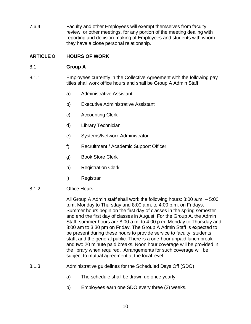7.6.4 Faculty and other Employees will exempt themselves from faculty review, or other meetings, for any portion of the meeting dealing with reporting and decision-making of Employees and students with whom they have a close personal relationship.

## <span id="page-14-0"></span>**ARTICLE 8 HOURS OF WORK**

## <span id="page-14-1"></span>8.1 **Group A**

- 8.1.1 Employees currently in the Collective Agreement with the following pay titles shall work office hours and shall be Group A Admin Staff:
	- a) Administrative Assistant
	- b) Executive Administrative Assistant
	- c) Accounting Clerk
	- d) Library Technician
	- e) Systems/Network Administrator
	- f) Recruitment / Academic Support Officer
	- g) Book Store Clerk
	- h) Registration Clerk
	- i) Registrar
- 8.1.2 Office Hours

All Group A Admin staff shall work the following hours: 8:00 a.m. – 5:00 p.m. Monday to Thursday and 8:00 a.m. to 4:00 p.m. on Fridays. Summer hours begin on the first day of classes in the spring semester and end the first day of classes in August. For the Group A, the Admin Staff, summer hours are 8:00 a.m. to 4:00 p.m. Monday to Thursday and 8:00 am to 3:30 pm on Friday. The Group A Admin Staff is expected to be present during these hours to provide service to faculty, students, staff, and the general public. There is a one-hour unpaid lunch break and two 20 minute paid breaks. Noon hour coverage will be provided in the library when required. Arrangements for such coverage will be subject to mutual agreement at the local level.

- 8.1.3 Administrative guidelines for the Scheduled Days Off (SDO)
	- a) The schedule shall be drawn up once yearly.
	- b) Employees earn one SDO every three (3) weeks.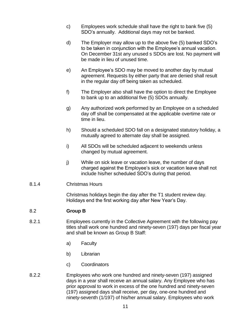- c) Employees work schedule shall have the right to bank five (5) SDO's annually. Additional days may not be banked.
- d) The Employer may allow up to the above five (5) banked SDO's to be taken in conjunction with the Employee's annual vacation. On December 31st any unused s SDOs are lost. No payment will be made in lieu of unused time.
- e) An Employee's SDO may be moved to another day by mutual agreement. Requests by either party that are denied shall result in the regular day off being taken as scheduled.
- f) The Employer also shall have the option to direct the Employee to bank up to an additional five (5) SDOs annually.
- g) Any authorized work performed by an Employee on a scheduled day off shall be compensated at the applicable overtime rate or time in lieu.
- h) Should a scheduled SDO fall on a designated statutory holiday, a mutually agreed to alternate day shall be assigned.
- i) All SDOs will be scheduled adjacent to weekends unless changed by mutual agreement.
- j) While on sick leave or vacation leave, the number of days charged against the Employee's sick or vacation leave shall not include his/her scheduled SDO's during that period.
- 8.1.4 Christmas Hours

Christmas holidays begin the day after the T1 student review day. Holidays end the first working day after New Year's Day.

## <span id="page-15-0"></span>8.2 **Group B**

- 8.2.1 Employees currently in the Collective Agreement with the following pay titles shall work one hundred and ninety-seven (197) days per fiscal year and shall be known as Group B Staff:
	- a) Faculty
	- b) Librarian
	- c) Coordinators
- 8.2.2 Employees who work one hundred and ninety-seven (197) assigned days in a year shall receive an annual salary. Any Employee who has prior approval to work in excess of the one hundred and ninety-seven (197) assigned days shall receive, per day, one-one hundred and ninety-seventh (1/197) of his/her annual salary. Employees who work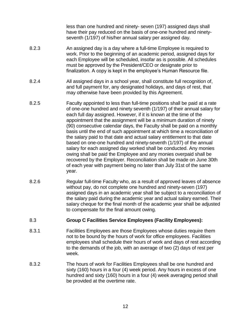less than one hundred and ninety- seven (197) assigned days shall have their pay reduced on the basis of one-one hundred and ninetyseventh (1/197) of his/her annual salary per assigned day.

- 8.2.3 An assigned day is a day where a full-time Employee is required to work. Prior to the beginning of an academic period, assigned days for each Employee will be scheduled, insofar as is possible. All schedules must be approved by the President/CEO or designate prior to finalization. A copy is kept in the employee's Human Resource file.
- 8.2.4 All assigned days in a school year, shall constitute full recognition of, and full payment for, any designated holidays, and days of rest, that may otherwise have been provided by this Agreement.
- 8.2.5 Faculty appointed to less than full-time positions shall be paid at a rate of one-one hundred and ninety seventh (1/197) of their annual salary for each full day assigned. However, if it is known at the time of the appointment that the assignment will be a minimum duration of ninety (90) consecutive calendar days, the Faculty shall be paid on a monthly basis until the end of such appointment at which time a reconciliation of the salary paid to that date and actual salary entitlement to that date based on one-one hundred and ninety-seventh (1/197) of the annual salary for each assigned day worked shall be conducted. Any monies owing shall be paid the Employee and any monies overpaid shall be recovered by the Employer. Reconciliation shall be made on June 30th of each year with payment being no later than July 31st of the same year.
- 8.2.6 Regular full-time Faculty who, as a result of approved leaves of absence without pay, do not complete one hundred and ninety-seven (197) assigned days in an academic year shall be subject to a reconciliation of the salary paid during the academic year and actual salary earned. Their salary cheque for the final month of the academic year shall be adjusted to compensate for the final amount owing.

## <span id="page-16-0"></span>8.3 **Group C Facilities Service Employees (Facility Employees):**

- 8.3.1 Facilities Employees are those Employees whose duties require them not to be bound by the hours of work for office employees. Facilities employees shall schedule their hours of work and days of rest according to the demands of the job, with an average of two (2) days of rest per week.
- 8.3.2 The hours of work for Facilities Employees shall be one hundred and sixty (160) hours in a four (4) week period. Any hours in excess of one hundred and sixty (160) hours in a four (4) week averaging period shall be provided at the overtime rate.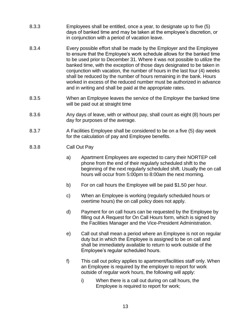- 8.3.3 Employees shall be entitled, once a year, to designate up to five (5) days of banked time and may be taken at the employee's discretion, or in conjunction with a period of vacation leave.
- 8.3.4 Every possible effort shall be made by the Employer and the Employee to ensure that the Employee's work schedule allows for the banked time to be used prior to December 31. Where it was not possible to utilize the banked time, with the exception of those days designated to be taken in conjunction with vacation, the number of hours in the last four (4) weeks shall be reduced by the number of hours remaining in the bank. Hours worked in excess of the reduced number must be authorized in advance and in writing and shall be paid at the appropriate rates.
- 8.3.5 When an Employee leaves the service of the Employer the banked time will be paid out at straight time
- 8.3.6 Any days of leave, with or without pay, shall count as eight (8) hours per day for purposes of the average.
- 8.3.7 A Facilities Employee shall be considered to be on a five (5) day week for the calculation of pay and Employee benefits.
- 8.3.8 Call Out Pay
	- a) Apartment Employees are expected to carry their NORTEP cell phone from the end of their regularly scheduled shift to the beginning of the next regularly scheduled shift. Usually the on call hours will occur from 5:00pm to 8:00am the next morning.
	- b) For on call hours the Employee will be paid \$1.50 per hour.
	- c) When an Employee is working (regularly scheduled hours or overtime hours) the on call policy does not apply.
	- d) Payment for on call hours can be requested by the Employee by filling out A Request for On Call Hours form, which is signed by the Facilities Manager and the Vice-President Administration.
	- e) Call out shall mean a period where an Employee is not on regular duty but in which the Employee is assigned to be on call and shall be immediately available to return to work outside of the Employee's regular scheduled hours.
	- f) This call out policy applies to apartment/facilities staff only. When an Employee is required by the employer to report for work outside of regular work hours, the following will apply:
		- i) When there is a call out during on call hours, the Employee is required to report for work;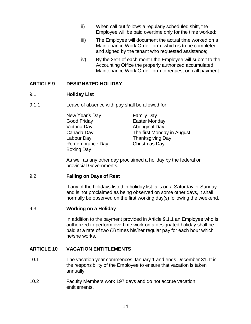- ii) When call out follows a regularly scheduled shift, the Employee will be paid overtime only for the time worked;
- iii) The Employee will document the actual time worked on a Maintenance Work Order form, which is to be completed and signed by the tenant who requested assistance;
- iv) By the 25th of each month the Employee will submit to the Accounting Office the properly authorized accumulated Maintenance Work Order form to request on call payment.

## <span id="page-18-0"></span>**ARTICLE 9 DESIGNATED HOLIDAY**

## <span id="page-18-1"></span>9.1 **Holiday List**

9.1.1 Leave of absence with pay shall be allowed for:

New Year's Day Family Day Good Friday **Easter Monday** Victoria Day Aboriginal Day Canada Day The first Monday in August Labour Day Thanksgiving Day Remembrance Day Christmas Day Boxing Day

As well as any other day proclaimed a holiday by the federal or provincial Governments.

## <span id="page-18-2"></span>9.2 **Falling on Days of Rest**

If any of the holidays listed in holiday list falls on a Saturday or Sunday and is not proclaimed as being observed on some other days, it shall normally be observed on the first working day(s) following the weekend.

## <span id="page-18-3"></span>9.3 **Working on a Holiday**

In addition to the payment provided in Article 9.1.1 an Employee who is authorized to perform overtime work on a designated holiday shall be paid at a rate of two (2) times his/her regular pay for each hour which he/she works.

## <span id="page-18-4"></span>**ARTICLE 10 VACATION ENTITLEMENTS**

- 10.1 The vacation year commences January 1 and ends December 31. It is the responsibility of the Employee to ensure that vacation is taken annually.
- 10.2 Faculty Members work 197 days and do not accrue vacation entitlements.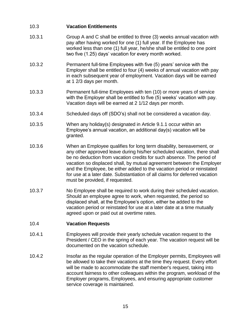## <span id="page-19-0"></span>10.3 **Vacation Entitlements**

- 10.3.1 Group A and C shall be entitled to three (3) weeks annual vacation with pay after having worked for one (1) full year. If the Employee has worked less than one (1) full year, he/she shall be entitled to one point two five (1.25) days' vacation for every month worked.
- 10.3.2 Permanent full-time Employees with five (5) years' service with the Employer shall be entitled to four (4) weeks of annual vacation with pay in each subsequent year of employment. Vacation days will be earned at 1 2/3 days per month.
- 10.3.3 Permanent full-time Employees with ten (10) or more years of service with the Employer shall be entitled to five (5) weeks' vacation with pay. Vacation days will be earned at 2 1/12 days per month.
- 10.3.4 Scheduled days off (SDO's) shall not be considered a vacation day.
- 10.3.5 When any holiday(s) designated in Article 9.1.1 occur within an Employee's annual vacation, an additional day(s) vacation will be granted.
- 10.3.6 When an Employee qualifies for long term disability, bereavement, or any other approved leave during his/her scheduled vacation, there shall be no deduction from vacation credits for such absence. The period of vacation so displaced shall, by mutual agreement between the Employer and the Employee, be either added to the vacation period or reinstated for use at a later date. Substantiation of all claims for deferred vacation must be provided, if requested.
- 10.3.7 No Employee shall be required to work during their scheduled vacation. Should an employee agree to work, when requested, the period so displaced shall, at the Employee's option, either be added to the vacation period or reinstated for use at a later date at a time mutually agreed upon or paid out at overtime rates.

## <span id="page-19-1"></span>10.4 **Vacation Requests**

- 10.4.1 Employees will provide their yearly schedule vacation request to the President / CEO in the spring of each year. The vacation request will be documented on the vacation schedule.
- 10.4.2 Insofar as the regular operation of the Employer permits, Employees will be allowed to take their vacations at the time they request. Every effort will be made to accommodate the staff member's request, taking into account fairness to other colleagues within the program, workload of the Employer programs, Employees, and ensuring appropriate customer service coverage is maintained.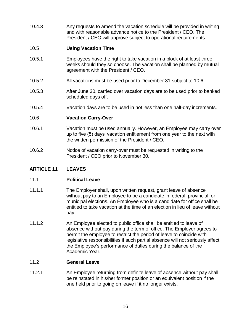10.4.3 Any requests to amend the vacation schedule will be provided in writing and with reasonable advance notice to the President / CEO. The President / CEO will approve subject to operational requirements.

## <span id="page-20-0"></span>10.5 **Using Vacation Time**

- 10.5.1 Employees have the right to take vacation in a block of at least three weeks should they so choose. The vacation shall be planned by mutual agreement with the President / CEO.
- 10.5.2 All vacations must be used prior to December 31 subject to 10.6.
- 10.5.3 After June 30, carried over vacation days are to be used prior to banked scheduled days off.
- 10.5.4 Vacation days are to be used in not less than one half-day increments.

## <span id="page-20-1"></span>10.6 **Vacation Carry-Over**

- 10.6.1 Vacation must be used annually. However, an Employee may carry over up to five (5) days' vacation entitlement from one year to the next with the written permission of the President / CEO.
- 10.6.2 Notice of vacation carry-over must be requested in writing to the President / CEO prior to November 30.

## <span id="page-20-2"></span>**ARTICLE 11 LEAVES**

## <span id="page-20-3"></span>11.1 **Political Leave**

- 11.1.1 The Employer shall, upon written request, grant leave of absence without pay to an Employee to be a candidate in federal, provincial, or municipal elections. An Employee who is a candidate for office shall be entitled to take vacation at the time of an election in lieu of leave without pay.
- 11.1.2 An Employee elected to public office shall be entitled to leave of absence without pay during the term of office. The Employer agrees to permit the employee to restrict the period of leave to coincide with legislative responsibilities if such partial absence will not seriously affect the Employee's performance of duties during the balance of the Academic Year.

## <span id="page-20-4"></span>11.2 **General Leave**

11.2.1 An Employee returning from definite leave of absence without pay shall be reinstated in his/her former position or an equivalent position if the one held prior to going on leave if it no longer exists.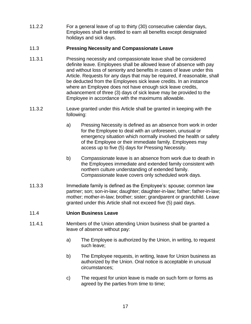11.2.2 For a general leave of up to thirty (30) consecutive calendar days, Employees shall be entitled to earn all benefits except designated holidays and sick days.

## <span id="page-21-0"></span>11.3 **Pressing Necessity and Compassionate Leave**

- 11.3.1 Pressing necessity and compassionate leave shall be considered definite leave. Employees shall be allowed leave of absence with pay and without loss of seniority and benefits in cases of leave under this Article. Requests for any days that may be required, if reasonable, shall be deducted from the Employees sick leave credits. In an instance where an Employee does not have enough sick leave credits, advancement of three (3) days of sick leave may be provided to the Employee in accordance with the maximums allowable.
- 11.3.2 Leave granted under this Article shall be granted in keeping with the following:
	- a) Pressing Necessity is defined as an absence from work in order for the Employee to deal with an unforeseen, unusual or emergency situation which normally involved the health or safety of the Employee or their immediate family. Employees may access up to five (5) days for Pressing Necessity.
	- b) Compassionate leave is an absence from work due to death in the Employees immediate and extended family consistent with northern culture understanding of extended family. Compassionate leave covers only scheduled work days.
- 11.3.3 Immediate family is defined as the Employee's: spouse; common law partner; son; son-in-law; daughter; daughter-in-law; father; father-in-law; mother; mother-in-law; brother; sister; grandparent or grandchild. Leave granted under this Article shall not exceed five (5) paid days.

## <span id="page-21-1"></span>11.4 **Union Business Leave**

- 11.4.1 Members of the Union attending Union business shall be granted a leave of absence without pay:
	- a) The Employee is authorized by the Union, in writing, to request such leave;
	- b) The Employee requests, in writing, leave for Union business as authorized by the Union. Oral notice is acceptable in unusual circumstances;
	- c) The request for union leave is made on such form or forms as agreed by the parties from time to time;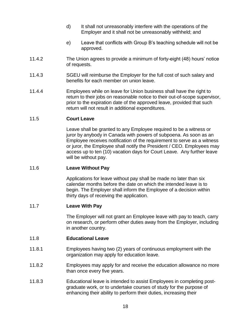- d) It shall not unreasonably interfere with the operations of the Employer and it shall not be unreasonably withheld; and
- e) Leave that conflicts with Group B's teaching schedule will not be approved.
- 11.4.2 The Union agrees to provide a minimum of forty-eight (48) hours' notice of requests.
- 11.4.3 SGEU will reimburse the Employer for the full cost of such salary and benefits for each member on union leave.
- 11.4.4 Employees while on leave for Union business shall have the right to return to their jobs on reasonable notice to their out-of-scope supervisor, prior to the expiration date of the approved leave, provided that such return will not result in additional expenditures.

## <span id="page-22-0"></span>11.5 **Court Leave**

Leave shall be granted to any Employee required to be a witness or juror by anybody in Canada with powers of subpoena. As soon as an Employee receives notification of the requirement to serve as a witness or juror, the Employee shall notify the President / CEO. Employees may access up to ten (10) vacation days for Court Leave. Any further leave will be without pay.

## <span id="page-22-1"></span>11.6 **Leave Without Pay**

Applications for leave without pay shall be made no later than six calendar months before the date on which the intended leave is to begin. The Employer shall inform the Employee of a decision within thirty days of receiving the application.

## <span id="page-22-2"></span>11.7 **Leave With Pay**

The Employer will not grant an Employee leave with pay to teach, carry on research, or perform other duties away from the Employer, including in another country.

## <span id="page-22-3"></span>11.8 **Educational Leave**

- 11.8.1 Employees having two (2) years of continuous employment with the organization may apply for education leave.
- 11.8.2 Employees may apply for and receive the education allowance no more than once every five years.
- 11.8.3 Educational leave is intended to assist Employees in completing postgraduate work, or to undertake courses of study for the purpose of enhancing their ability to perform their duties, increasing their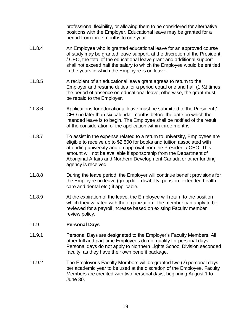professional flexibility, or allowing them to be considered for alternative positions with the Employer. Educational leave may be granted for a period from three months to one year.

- 11.8.4 An Employee who is granted educational leave for an approved course of study may be granted leave support, at the discretion of the President / CEO, the total of the educational leave grant and additional support shall not exceed half the salary to which the Employee would be entitled in the years in which the Employee is on leave.
- 11.8.5 A recipient of an educational leave grant agrees to return to the Employer and resume duties for a period equal one and half  $(1 \frac{1}{2})$  times the period of absence on educational leave; otherwise, the grant must be repaid to the Employer.
- 11.8.6 Applications for educational leave must be submitted to the President / CEO no later than six calendar months before the date on which the intended leave is to begin. The Employee shall be notified of the result of the consideration of the application within three months.
- 11.8.7 To assist in the expense related to a return to university, Employees are eligible to receive up to \$2,500 for books and tuition associated with attending university and on approval from the President / CEO. This amount will not be available if sponsorship from the Department of Aboriginal Affairs and Northern Development Canada or other funding agency is received.
- 11.8.8 During the leave period, the Employer will continue benefit provisions for the Employee on leave (group life, disability; pension, extended health care and dental etc.) if applicable.
- 11.8.9 At the expiration of the leave, the Employee will return to the position which they vacated with the organization. The member can apply to be reviewed for a payroll increase based on existing Faculty member review policy.

## <span id="page-23-0"></span>11.9 **Personal Days**

- 11.9.1 Personal Days are designated to the Employer's Faculty Members. All other full and part-time Employees do not qualify for personal days. Personal days do not apply to Northern Lights School Division seconded faculty, as they have their own benefit package.
- 11.9.2 The Employer's Faculty Members will be granted two (2) personal days per academic year to be used at the discretion of the Employee. Faculty Members are credited with two personal days, beginning August 1 to June 30.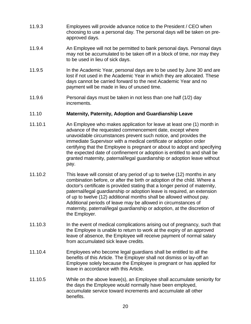- 11.9.3 Employees will provide advance notice to the President / CEO when choosing to use a personal day. The personal days will be taken on preapproved days.
- 11.9.4 An Employee will not be permitted to bank personal days. Personal days may not be accumulated to be taken off in a block of time, nor may they to be used in lieu of sick days.
- 11.9.5 In the Academic Year, personal days are to be used by June 30 and are lost if not used in the Academic Year in which they are allocated. These days cannot be carried forward to the next Academic Year and no payment will be made in lieu of unused time.
- 11.9.6 Personal days must be taken in not less than one half (1/2) day increments.

## <span id="page-24-0"></span>11.10 **Maternity, Paternity, Adoption and Guardianship Leave**

- 11.10.1 An Employee who makes application for leave at least one (1) month in advance of the requested commencement date, except where unavoidable circumstances prevent such notice, and provides the immediate Supervisor with a medical certificate or adoption order certifying that the Employee is pregnant or about to adopt and specifying the expected date of confinement or adoption is entitled to and shall be granted maternity, paternal/legal guardianship or adoption leave without pay.
- 11.10.2 This leave will consist of any period of up to twelve (12) months in any combination before, or after the birth or adoption of the child. Where a doctor's certificate is provided stating that a longer period of maternity, paternal/legal guardianship or adoption leave is required, an extension of up to twelve (12) additional months shall be allowed without pay. Additional periods of leave may be allowed in circumstances of maternity, paternal/legal guardianship or adoption, at the discretion of the Employer.
- 11.10.3 In the event of medical complications arising out of pregnancy, such that the Employee is unable to return to work at the expiry of an approved leave of absence, the Employee will receive payment of normal salary from accumulated sick leave credits.
- 11.10.4 Employees who become legal guardians shall be entitled to all the benefits of this Article. The Employer shall not dismiss or lay-off an Employee solely because the Employee is pregnant or has applied for leave in accordance with this Article.
- 11.10.5 While on the above leave(s), an Employee shall accumulate seniority for the days the Employee would normally have been employed, accumulate service toward increments and accumulate all other benefits.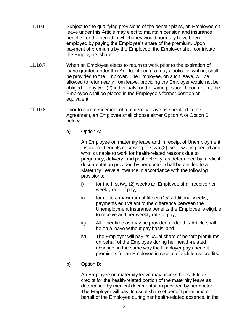- 11.10.6 Subject to the qualifying provisions of the benefit plans, an Employee on leave under this Article may elect to maintain pension and insurance benefits for the period in which they would normally have been employed by paying the Employee's share of the premium. Upon payment of premiums by the Employee, the Employer shall contribute the Employer's share.
- 11.10.7 When an Employee elects to return to work prior to the expiration of leave granted under this Article, fifteen (15) days' notice in writing, shall be provided to the Employer. The Employee, on such leave, will be allowed to return early from leave, providing the Employer would not be obliged to pay two (2) individuals for the same position. Upon return, the Employee shall be placed in the Employee's former position or equivalent.
- 11.10.8 Prior to commencement of a maternity leave as specified in the Agreement, an Employee shall choose either Option A or Option B below:
	- a) Option A:

An Employee on maternity leave and in receipt of Unemployment Insurance benefits or serving the two (2) week waiting period and who is unable to work for health-related reasons due to pregnancy, delivery, and post-delivery, as determined by medical documentation provided by her doctor, shall be entitled to a Maternity Leave allowance in accordance with the following provisions:

- i) for the first two (2) weeks an Employee shall receive her weekly rate of pay;
- $ii)$  for up to a maximum of fifteen (15) additional weeks, payments equivalent to the difference between the Unemployment Insurance benefits the Employee is eligible to receive and her weekly rate of pay;
- iii) All other time as may be provided under this Article shall be on a leave without pay basis; and
- iv) The Employer will pay its usual share of benefit premiums on behalf of the Employee during her health-related absence, in the same way the Employer pays benefit premiums for an Employee in receipt of sick leave credits.
- b) Option B:

An Employee on maternity leave may access her sick leave credits for the health-related portion of the maternity leave as determined by medical documentation provided by her doctor. The Employer will pay its usual share of benefit premiums on behalf of the Employee during her health-related absence, in the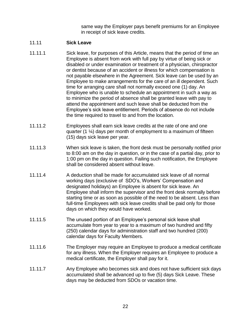same way the Employer pays benefit premiums for an Employee in receipt of sick leave credits.

## <span id="page-26-0"></span>11.11 **Sick Leave**

- 11.11.1 Sick leave, for purposes of this Article, means that the period of time an Employee is absent from work with full pay by virtue of being sick or disabled or under examination or treatment of a physician, chiropractor or dentist because of an accident or illness for which compensation is not payable elsewhere in the Agreement. Sick leave can be used by an Employee to make arrangements for the care of an ill dependent. Such time for arranging care shall not normally exceed one (1) day. An Employee who is unable to schedule an appointment in such a way as to minimize the period of absence shall be granted leave with pay to attend the appointment and such leave shall be deducted from the Employee's sick leave entitlement. Periods of absence do not include the time required to travel to and from the location.
- 11.11.2 Employees shall earn sick leave credits at the rate of one and one quarter  $(1 \frac{1}{4})$  days per month of employment to a maximum of fifteen (15) days sick leave per year.
- 11.11.3 When sick leave is taken, the front desk must be personally notified prior to 8:00 am on the day in question, or in the case of a partial day, prior to 1:00 pm on the day in question. Failing such notification, the Employee shall be considered absent without leave.
- 11.11.4 A deduction shall be made for accumulated sick leave of all normal working days (exclusive of SDO's, Workers' Compensation and designated holidays) an Employee is absent for sick leave. An Employee shall inform the supervisor and the front desk normally before starting time or as soon as possible of the need to be absent. Less than full-time Employees with sick leave credits shall be paid only for those days on which they would have worked.
- 11.11.5 The unused portion of an Employee's personal sick leave shall accumulate from year to year to a maximum of two hundred and fifty (250) calendar days for administration staff and two hundred (200) calendar days for Faculty Members.
- 11.11.6 The Employer may require an Employee to produce a medical certificate for any illness. When the Employer requires an Employee to produce a medical certificate, the Employer shall pay for it.
- 11.11.7 Any Employee who becomes sick and does not have sufficient sick days accumulated shall be advanced up to five (5) days Sick Leave. These days may be deducted from SDOs or vacation time.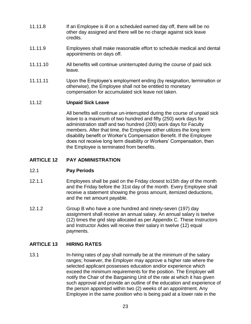- 11.11.8 If an Employee is ill on a scheduled earned day off, there will be no other day assigned and there will be no charge against sick leave credits.
- 11.11.9 Employees shall make reasonable effort to schedule medical and dental appointments on days off.
- 11.11.10 All benefits will continue uninterrupted during the course of paid sick leave.
- 11.11.11 Upon the Employee's employment ending (by resignation, termination or otherwise), the Employee shall not be entitled to monetary compensation for accumulated sick leave not taken.

## <span id="page-27-0"></span>11.12 **Unpaid Sick Leave**

All benefits will continue un-interrupted during the course of unpaid sick leave to a maximum of two hundred and fifty (250) work days for administration staff and two hundred (200) work days for Faculty members. After that time, the Employee either utilizes the long term disability benefit or Worker's Compensation Benefit. If the Employee does not receive long term disability or Workers' Compensation, then the Employee is terminated from benefits.

## <span id="page-27-1"></span>**ARTICLE 12 PAY ADMINISTRATION**

## <span id="page-27-2"></span>12.1 **Pay Periods**

- 12.1.1 Employees shall be paid on the Friday closest to15th day of the month and the Friday before the 31st day of the month. Every Employee shall receive a statement showing the gross amount, itemized deductions, and the net amount payable.
- 12.1.2 Group B who have a one hundred and ninety-seven (197) day assignment shall receive an annual salary. An annual salary is twelve (12) times the grid step allocated as per Appendix C. These Instructors and Instructor Aides will receive their salary in twelve (12) equal payments.

## <span id="page-27-3"></span>**ARTICLE 13 HIRING RATES**

13.1 In-hiring rates of pay shall normally be at the minimum of the salary ranges; however, the Employer may approve a higher rate where the selected applicant possesses education and/or experience which exceed the minimum requirements for the position. The Employer will notify the Chair of the Bargaining Unit of the rate at which it has given such approval and provide an outline of the education and experience of the person appointed within two (2) weeks of an appointment. Any Employee in the same position who is being paid at a lower rate in the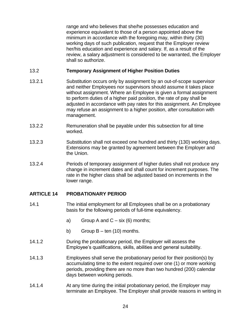range and who believes that she/he possesses education and experience equivalent to those of a person appointed above the minimum in accordance with the foregoing may, within thirty (30) working days of such publication, request that the Employer review her/his education and experience and salary. If, as a result of the review, a salary adjustment is considered to be warranted, the Employer shall so authorize.

## <span id="page-28-0"></span>13.2 **Temporary Assignment of Higher Position Duties**

- 13.2.1 Substitution occurs only by assignment by an out-of-scope supervisor and neither Employees nor supervisors should assume it takes place without assignment. Where an Employee is given a formal assignment to perform duties of a higher paid position, the rate of pay shall be adjusted in accordance with pay rates for this assignment. An Employee may refuse an assignment to a higher position, after consultation with management.
- 13.2.2 Remuneration shall be payable under this subsection for all time worked.
- 13.2.3 Substitution shall not exceed one hundred and thirty (130) working days. Extensions may be granted by agreement between the Employer and the Union.
- 13.2.4 Periods of temporary assignment of higher duties shall not produce any change in increment dates and shall count for increment purposes. The rate in the higher class shall be adjusted based on increments in the lower range.

## <span id="page-28-1"></span>**ARTICLE 14 PROBATIONARY PERIOD**

- 14.1 The initial employment for all Employees shall be on a probationary basis for the following periods of full-time equivalency.
	- a) Group A and  $C six(6)$  months;
	- b) Group  $B \text{ten}$  (10) months.
- 14.1.2 During the probationary period, the Employer will assess the Employee's qualifications, skills, abilities and general suitability.
- 14.1.3 Employees shall serve the probationary period for their position(s) by accumulating time to the extent required over one (1) or more working periods, providing there are no more than two hundred (200) calendar days between working periods.
- 14.1.4 At any time during the initial probationary period, the Employer may terminate an Employee. The Employer shall provide reasons in writing in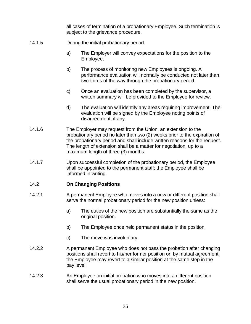all cases of termination of a probationary Employee. Such termination is subject to the grievance procedure.

- 14.1.5 During the initial probationary period:
	- a) The Employer will convey expectations for the position to the Employee.
	- b) The process of monitoring new Employees is ongoing. A performance evaluation will normally be conducted not later than two-thirds of the way through the probationary period.
	- c) Once an evaluation has been completed by the supervisor, a written summary will be provided to the Employee for review.
	- d) The evaluation will identify any areas requiring improvement. The evaluation will be signed by the Employee noting points of disagreement, if any.
- 14.1.6 The Employer may request from the Union, an extension to the probationary period no later than two (2) weeks prior to the expiration of the probationary period and shall include written reasons for the request. The length of extension shall be a matter for negotiation, up to a maximum length of three (3) months.
- 14.1.7 Upon successful completion of the probationary period, the Employee shall be appointed to the permanent staff; the Employee shall be informed in writing.

## <span id="page-29-0"></span>14.2 **On Changing Positions**

- 14.2.1 A permanent Employee who moves into a new or different position shall serve the normal probationary period for the new position unless:
	- a) The duties of the new position are substantially the same as the original position.
	- b) The Employee once held permanent status in the position.
	- c) The move was involuntary.
- 14.2.2 A permanent Employee who does not pass the probation after changing positions shall revert to his/her former position or, by mutual agreement, the Employee may revert to a similar position at the same step in the pay level.
- 14.2.3 An Employee on initial probation who moves into a different position shall serve the usual probationary period in the new position.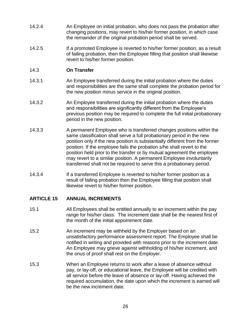- 14.2.4 An Employee on initial probation, who does not pass the probation after changing positions, may revert to his/her former position, in which case the remainder of the original probation period shall be served.
- 14.2.5 If a promoted Employee is reverted to his/her former position, as a result of failing probation, then the Employee filling that position shall likewise revert to his/her former position.

## <span id="page-30-0"></span>14.3 **On Transfer**

- 14.3.1 An Employee transferred during the initial probation where the duties and responsibilities are the same shall complete the probation period for the new position minus service in the original position.
- 14.3.2 An Employee transferred during the initial probation where the duties and responsibilities are significantly different from the Employee's previous position may be required to complete the full initial probationary period in the new position.
- 14.3.3 A permanent Employee who is transferred changes positions within the same classification shall serve a full probationary period in the new position only if the new position is substantially different from the former position. If the employee fails the probation s/he shall revert to the position held prior to the transfer or by mutual agreement the employee may revert to a similar position. A permanent Employee involuntarily transferred shall not be required to serve this a probationary period.
- 14.3.4 If a transferred Employee is reverted to his/her former position as a result of failing probation then the Employee filling that position shall likewise revert to his/her former position.

## <span id="page-30-1"></span>**ARTICLE 15 ANNUAL INCREMENTS**

- 15.1 All Employees shall be entitled annually to an increment within the pay range for his/her class. The increment date shall be the nearest first of the month of the initial appointment date.
- 15.2 An increment may be withheld by the Employer based on an unsatisfactory performance assessment report. The Employee shall be notified in writing and provided with reasons prior to the increment date. An Employee may grieve against withholding of his/her increment, and the onus of proof shall rest on the Employer.
- 15.3 When an Employee returns to work after a leave of absence without pay, or lay-off, or educational leave, the Employee will be credited with all service before the leave of absence or lay-off. Having achieved the required accumulation, the date upon which the increment is earned will be the new increment date.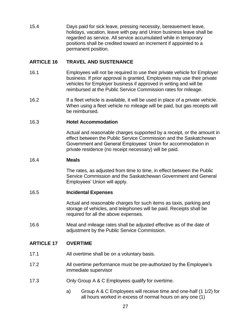15.4 Days paid for sick leave, pressing necessity, bereavement leave, holidays, vacation, leave with pay and Union business leave shall be regarded as service. All service accumulated while in temporary positions shall be credited toward an increment if appointed to a permanent position.

## <span id="page-31-0"></span>**ARTICLE 16 TRAVEL AND SUSTENANCE**

- 16.1 Employees will not be required to use their private vehicle for Employer business. If prior approval is granted, Employees may use their private vehicles for Employer business if approved in writing and will be reimbursed at the Public Service Commission rates for mileage.
- 16.2 If a fleet vehicle is available, it will be used in place of a private vehicle. When using a fleet vehicle no mileage will be paid, but gas receipts will be reimbursed.

## <span id="page-31-1"></span>16.3 **Hotel Accommodation**

Actual and reasonable charges supported by a receipt, or the amount in effect between the Public Service Commission and the Saskatchewan Government and General Employees' Union for accommodation in private residence (no receipt necessary) will be paid.

#### <span id="page-31-2"></span>16.4 **Meals**

The rates, as adjusted from time to time, in effect between the Public Service Commission and the Saskatchewan Government and General Employees' Union will apply.

## <span id="page-31-3"></span>16.5 **Incidental Expenses**

Actual and reasonable charges for such items as taxis, parking and storage of vehicles, and telephones will be paid. Receipts shall be required for all the above expenses.

16.6 Meal and mileage rates shall be adjusted effective as of the date of adjustment by the Public Service Commission.

## <span id="page-31-4"></span>**ARTICLE 17 OVERTIME**

- 17.1 All overtime shall be on a voluntary basis.
- 17.2 All overtime performance must be pre-authorized by the Employee's immediate supervisor
- 17.3 Only Group A & C Employees qualify for overtime.
	- a) Group A & C Employees will receive time and one-half (1 1/2) for all hours worked in excess of normal hours on any one (1)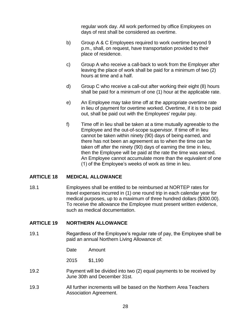regular work day. All work performed by office Employees on days of rest shall be considered as overtime.

- b) Group A & C Employees required to work overtime beyond 9 p.m., shall, on request, have transportation provided to their place of residence.
- c) Group A who receive a call-back to work from the Employer after leaving the place of work shall be paid for a minimum of two (2) hours at time and a half.
- d) Group C who receive a call-out after working their eight (8) hours shall be paid for a minimum of one (1) hour at the applicable rate.
- e) An Employee may take time off at the appropriate overtime rate in lieu of payment for overtime worked. Overtime, if it is to be paid out, shall be paid out with the Employees' regular pay.
- f) Time off in lieu shall be taken at a time mutually agreeable to the Employee and the out-of-scope supervisor. If time off in lieu cannot be taken within ninety (90) days of being earned, and there has not been an agreement as to when the time can be taken off after the ninety (90) days of earning the time in lieu, then the Employee will be paid at the rate the time was earned. An Employee cannot accumulate more than the equivalent of one (1) of the Employee's weeks of work as time in lieu.

## <span id="page-32-0"></span>**ARTICLE 18 MEDICAL ALLOWANCE**

18.1 Employees shall be entitled to be reimbursed at NORTEP rates for travel expenses incurred in (1) one round trip in each calendar year for medical purposes, up to a maximum of three hundred dollars (\$300.00). To receive the allowance the Employee must present written evidence, such as medical documentation.

## <span id="page-32-1"></span>**ARTICLE 19 NORTHERN ALLOWANCE**

19.1 Regardless of the Employee's regular rate of pay, the Employee shall be paid an annual Northern Living Allowance of:

Date Amount

2015 \$1,190

- 19.2 Payment will be divided into two (2) equal payments to be received by June 30th and December 31st.
- 19.3 All further increments will be based on the Northern Area Teachers Association Agreement.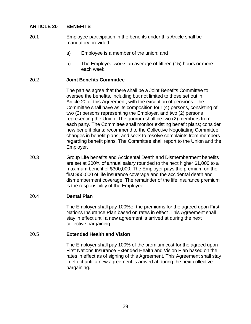## <span id="page-33-0"></span>**ARTICLE 20 BENEFITS**

- 20.1 Employee participation in the benefits under this Article shall be mandatory provided:
	- a) Employee is a member of the union; and
	- b) The Employee works an average of fifteen (15) hours or more each week.

#### <span id="page-33-1"></span>20.2 **Joint Benefits Committee**

The parties agree that there shall be a Joint Benefits Committee to oversee the benefits, including but not limited to those set out in Article 20 of this Agreement, with the exception of pensions. The Committee shall have as its composition four (4) persons, consisting of two (2) persons representing the Employer, and two (2) persons representing the Union. The quorum shall be two (2) members from each party. The Committee shall monitor existing benefit plans; consider new benefit plans; recommend to the Collective Negotiating Committee changes in benefit plans; and seek to resolve complaints from members regarding benefit plans. The Committee shall report to the Union and the Employer.

20.3 Group Life benefits and Accidental Death and Dismemberment benefits are set at 200% of annual salary rounded to the next higher \$1,000 to a maximum benefit of \$300,000. The Employer pays the premium on the first \$50,000 of life insurance coverage and the accidental death and dismemberment coverage. The remainder of the life insurance premium is the responsibility of the Employee.

#### <span id="page-33-2"></span>20.4 **Dental Plan**

The Employer shall pay 100%of the premiums for the agreed upon First Nations Insurance Plan based on rates in effect .This Agreement shall stay in effect until a new agreement is arrived at during the next collective bargaining.

#### <span id="page-33-3"></span>20.5 **Extended Health and Vision**

The Employer shall pay 100% of the premium cost for the agreed upon First Nations Insurance Extended Health and Vision Plan based on the rates in effect as of signing of this Agreement. This Agreement shall stay in effect until a new agreement is arrived at during the next collective bargaining.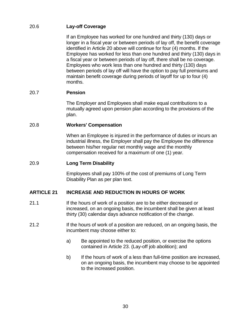## <span id="page-34-0"></span>20.6 **Lay-off Coverage**

If an Employee has worked for one hundred and thirty (130) days or longer in a fiscal year or between periods of lay off, the benefit coverage identified in Article 20 above will continue for four (4) months. If the Employee has worked for less than one hundred and thirty (130) days in a fiscal year or between periods of lay off, there shall be no coverage. Employees who work less than one hundred and thirty (130) days between periods of lay off will have the option to pay full premiums and maintain benefit coverage during periods of layoff for up to four (4) months.

## <span id="page-34-1"></span>20.7 **Pension**

The Employer and Employees shall make equal contributions to a mutually agreed upon pension plan according to the provisions of the plan.

## <span id="page-34-2"></span>20.8 **Workers' Compensation**

When an Employee is injured in the performance of duties or incurs an industrial illness, the Employer shall pay the Employee the difference between his/her regular net monthly wage and the monthly compensation received for a maximum of one (1) year.

## <span id="page-34-3"></span>20.9 **Long Term Disability**

Employees shall pay 100% of the cost of premiums of Long Term Disability Plan as per plan text.

## <span id="page-34-4"></span>**ARTICLE 21 INCREASE AND REDUCTION IN HOURS OF WORK**

- 21.1 If the hours of work of a position are to be either decreased or increased, on an ongoing basis, the incumbent shall be given at least thirty (30) calendar days advance notification of the change.
- 21.2 If the hours of work of a position are reduced, on an ongoing basis, the incumbent may choose either to:
	- a) Be appointed to the reduced position, or exercise the options contained in Article 23. (Lay-off job abolition); and
	- b) If the hours of work of a less than full-time position are increased, on an ongoing basis, the incumbent may choose to be appointed to the increased position.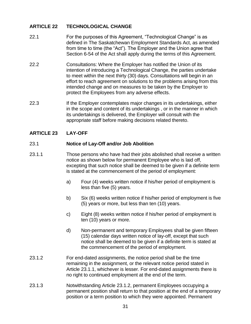## <span id="page-35-0"></span>**ARTICLE 22 TECHNOLOGICAL CHANGE**

- 22.1 For the purposes of this Agreement, "Technological Change" is as defined in The Saskatchewan Employment Standards Act, as amended from time to time (the "Act"). The Employer and the Union agree that Section 6-54 of the Act shall apply during the terms of this Agreement.
- 22.2 Consultations: Where the Employer has notified the Union of its intention of introducing a Technological Change, the parties undertake to meet within the next thirty (30) days. Consultations will begin in an effort to reach agreement on solutions to the problems arising from this intended change and on measures to be taken by the Employer to protect the Employees from any adverse effects.
- 22.3 If the Employer contemplates major changes in its undertakings, either in the scope and content of its undertakings , or in the manner in which its undertakings is delivered, the Employer will consult with the appropriate staff before making decisions related thereto.

## <span id="page-35-1"></span>**ARTICLE 23 LAY-OFF**

## <span id="page-35-2"></span>23.1 **Notice of Lay-Off and/or Job Abolition**

- 23.1.1 Those persons who have had their jobs abolished shall receive a written notice as shown below for permanent Employee who is laid off, excepting that such notice shall be deemed to be given if a definite term is stated at the commencement of the period of employment:
	- a) Four (4) weeks written notice if his/her period of employment is less than five (5) years.
	- b) Six (6) weeks written notice if his/her period of employment is five (5) years or more, but less than ten (10) years.
	- c) Eight (8) weeks written notice if his/her period of employment is ten (10) years or more.
	- d) Non-permanent and temporary Employees shall be given fifteen (15) calendar days written notice of lay-off, except that such notice shall be deemed to be given if a definite term is stated at the commencement of the period of employment.
- 23.1.2 For end-dated assignments, the notice period shall be the time remaining in the assignment, or the relevant notice period stated in Article 23.1.1, whichever is lesser. For end-dated assignments there is no right to continued employment at the end of the term.
- 23.1.3 Notwithstanding Article 23.1.2, permanent Employees occupying a permanent position shall return to that position at the end of a temporary position or a term position to which they were appointed. Permanent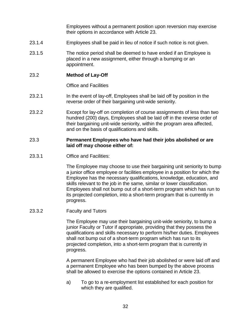Employees without a permanent position upon reversion may exercise their options in accordance with Article 23.

- 23.1.4 Employees shall be paid in lieu of notice if such notice is not given.
- 23.1.5 The notice period shall be deemed to have ended if an Employee is placed in a new assignment, either through a bumping or an appointment.

#### <span id="page-36-0"></span>23.2 **Method of Lay-Off**

Office and Facilities

- 23.2.1 In the event of lay-off, Employees shall be laid off by position in the reverse order of their bargaining unit-wide seniority.
- 23.2.2 Except for lay-off on completion of course assignments of less than two hundred (200) days, Employees shall be laid off in the reverse order of their bargaining unit-wide seniority, within the program area affected, and on the basis of qualifications and skills.

#### 23.3 **Permanent Employees who have had their jobs abolished or are laid off may choose either of:**

23.3.1 Office and Facilities:

The Employee may choose to use their bargaining unit seniority to bump a junior office employee or facilities employee in a position for which the Employee has the necessary qualifications, knowledge, education, and skills relevant to the job in the same, similar or lower classification. Employees shall not bump out of a short-term program which has run to its projected completion, into a short-term program that is currently in progress.

23.3.2 Faculty and Tutors

The Employee may use their bargaining unit-wide seniority, to bump a junior Faculty or Tutor if appropriate, providing that they possess the qualifications and skills necessary to perform his/her duties. Employees shall not bump out of a short-term program which has run to its projected completion, into a short-term program that is currently in progress.

A permanent Employee who had their job abolished or were laid off and a permanent Employee who has been bumped by the above process shall be allowed to exercise the options contained in Article 23.

a) To go to a re-employment list established for each position for which they are qualified.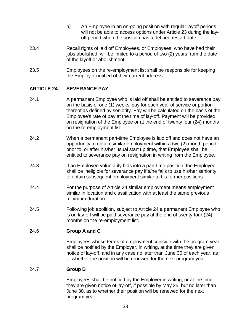- b) An Employee in an on-going position with regular layoff periods will not be able to access options under Article 23 during the layoff period when the position has a defined restart date.
- 23.4 Recall rights of laid off Employees, or Employees, who have had their jobs abolished, will be limited to a period of two (2) years from the date of the layoff or abolishment.
- 23.5 Employees on the re-employment list shall be responsible for keeping the Employer notified of their current address.

## <span id="page-37-0"></span>**ARTICLE 24 SEVERANCE PAY**

- 24.1 A permanent Employee who is laid off shall be entitled to severance pay on the basis of one (1) weeks' pay for each year of service or portion thereof as defined by seniority. Pay will be calculated on the basis of the Employee's rate of pay at the time of lay-off. Payment will be provided on resignation of the Employee or at the end of twenty four (24) months on the re-employment list.
- 24.2 When a permanent part-time Employee is laid off and does not have an opportunity to obtain similar employment within a two (2) month period prior to, or after his/her usual start up time, that Employee shall be entitled to severance pay on resignation in writing from the Employee.
- 24.3 If an Employee voluntarily bids into a part-time position, the Employee shall be ineligible for severance pay if s/he fails to use his/her seniority to obtain subsequent employment similar to his former positions.
- 24.4 For the purpose of Article 24 similar employment means employment similar in location and classification with at least the same previous minimum duration.
- 24.5 Following job abolition, subject to Article 24 a permanent Employee who is on lay-off will be paid severance pay at the end of twenty-four (24) months on the re-employment list.

## <span id="page-37-1"></span>24.6 **Group A and C**

Employees whose terms of employment coincide with the program year shall be notified by the Employer, in writing, at the time they are given notice of lay-off, and in any case no later than June 30 of each year, as to whether the position will be renewed for the next program year.

## <span id="page-37-2"></span>24.7 **Group B**

Employees shall be notified by the Employer in writing, or at the time they are given notice of lay-off, if possible by May 25, but no later than June 30, as to whether their position will be renewed for the next program year.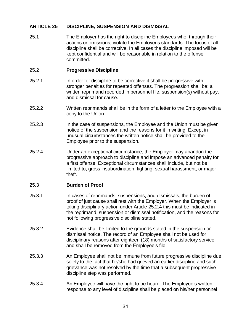## <span id="page-38-0"></span>**ARTICLE 25 DISCIPLINE, SUSPENSION AND DISMISSAL**

25.1 The Employer has the right to discipline Employees who, through their actions or omissions, violate the Employer's standards. The focus of all discipline shall be corrective. In all cases the discipline imposed will be kept confidential and will be reasonable in relation to the offense committed.

## <span id="page-38-1"></span>25.2 **Progressive Discipline**

- 25.2.1 In order for discipline to be corrective it shall be progressive with stronger penalties for repeated offenses. The progression shall be: a written reprimand recorded in personnel file, suspension(s) without pay, and dismissal for cause.
- 25.2.2 Written reprimands shall be in the form of a letter to the Employee with a copy to the Union.
- 25.2.3 In the case of suspensions, the Employee and the Union must be given notice of the suspension and the reasons for it in writing. Except in unusual circumstances the written notice shall be provided to the Employee prior to the suspension.
- 25.2.4 Under an exceptional circumstance, the Employer may abandon the progressive approach to discipline and impose an advanced penalty for a first offense. Exceptional circumstances shall include, but not be limited to, gross insubordination, fighting, sexual harassment, or major theft.

## <span id="page-38-2"></span>25.3 **Burden of Proof**

- 25.3.1 In cases of reprimands, suspensions, and dismissals, the burden of proof of just cause shall rest with the Employer. When the Employer is taking disciplinary action under Article 25.2.4 this must be indicated in the reprimand, suspension or dismissal notification, and the reasons for not following progressive discipline stated.
- 25.3.2 Evidence shall be limited to the grounds stated in the suspension or dismissal notice. The record of an Employee shall not be used for disciplinary reasons after eighteen (18) months of satisfactory service and shall be removed from the Employee's file.
- 25.3.3 An Employee shall not be immune from future progressive discipline due solely to the fact that he/she had grieved an earlier discipline and such grievance was not resolved by the time that a subsequent progressive discipline step was performed.
- 25.3.4 An Employee will have the right to be heard. The Employee's written response to any level of discipline shall be placed on his/her personnel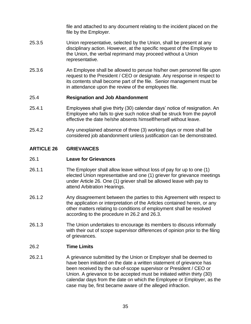file and attached to any document relating to the incident placed on the file by the Employer.

- 25.3.5 Union representative, selected by the Union, shall be present at any disciplinary action. However, at the specific request of the Employee to the Union, the verbal reprimand may proceed without a Union representative.
- 25.3.6 An Employee shall be allowed to peruse his/her own personnel file upon request to the President / CEO or designate. Any response in respect to its contents shall become part of the file. Senior management must be in attendance upon the review of the employees file.

## <span id="page-39-0"></span>25.4 **Resignation and Job Abandonment**

- 25.4.1 Employees shall give thirty (30) calendar days' notice of resignation. An Employee who fails to give such notice shall be struck from the payroll effective the date he/she absents himself/herself without leave.
- 25.4.2 Any unexplained absence of three (3) working days or more shall be considered job abandonment unless justification can be demonstrated.

## <span id="page-39-1"></span>**ARTICLE 26 GRIEVANCES**

## <span id="page-39-2"></span>26.1 **Leave for Grievances**

- 26.1.1 The Employer shall allow leave without loss of pay for up to one (1) elected Union representative and one (1) griever for grievance meetings under Article 26. One (1) griever shall be allowed leave with pay to attend Arbitration Hearings.
- 26.1.2 Any disagreement between the parties to this Agreement with respect to the application or interpretation of the Articles contained herein, or any other matters relating to conditions of employment shall be resolved according to the procedure in 26.2 and 26.3.
- 26.1.3 The Union undertakes to encourage its members to discuss informally with their out of scope supervisor differences of opinion prior to the filing of grievances.

## <span id="page-39-3"></span>26.2 **Time Limits**

26.2.1 A grievance submitted by the Union or Employer shall be deemed to have been initiated on the date a written statement of grievance has been received by the out-of-scope supervisor or President / CEO or Union. A grievance to be accepted must be initiated within thirty (30) calendar days from the date on which the Employee or Employer, as the case may be, first became aware of the alleged infraction.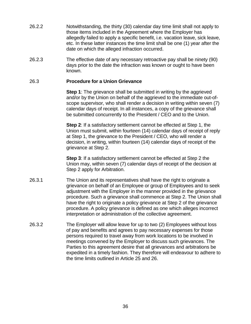- 26.2.2 Notwithstanding, the thirty (30) calendar day time limit shall not apply to those items included in the Agreement where the Employer has allegedly failed to apply a specific benefit, i.e. vacation leave, sick leave, etc. In these latter instances the time limit shall be one (1) year after the date on which the alleged infraction occurred.
- 26.2.3 The effective date of any necessary retroactive pay shall be ninety (90) days prior to the date the infraction was known or ought to have been known.

#### <span id="page-40-0"></span>26.3 **Procedure for a Union Grievance**

**Step 1:** The grievance shall be submitted in writing by the aggrieved and/or by the Union on behalf of the aggrieved to the immediate out-ofscope supervisor, who shall render a decision in writing within seven (7) calendar days of receipt. In all instances, a copy of the grievance shall be submitted concurrently to the President / CEO and to the Union.

**Step 2**: If a satisfactory settlement cannot be effected at Step 1, the Union must submit, within fourteen (14) calendar days of receipt of reply at Step 1, the grievance to the President / CEO, who will render a decision, in writing, within fourteen (14) calendar days of receipt of the grievance at Step 2.

**Step 3**: If a satisfactory settlement cannot be effected at Step 2 the Union may, within seven (7) calendar days of receipt of the decision at Step 2 apply for Arbitration.

- 26.3.1 The Union and its representatives shall have the right to originate a grievance on behalf of an Employee or group of Employees and to seek adjustment with the Employer in the manner provided in the grievance procedure. Such a grievance shall commence at Step 2. The Union shall have the right to originate a policy grievance at Step 2 of the grievance procedure. A policy grievance is defined as one which alleges incorrect interpretation or administration of the collective agreement.
- 26.3.2 The Employer will allow leave for up to two (2) Employees without loss of pay and benefits and agrees to pay necessary expenses for those persons required to travel away from work locations to be involved in meetings convened by the Employer to discuss such grievances. The Parties to this agreement desire that all grievances and arbitrations be expedited in a timely fashion. They therefore will endeavour to adhere to the time limits outlined in Article 25 and 26.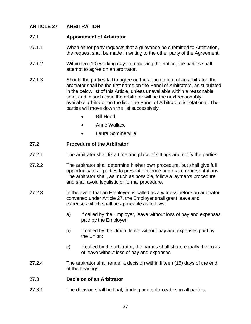## <span id="page-41-0"></span>**ARTICLE 27 ARBITRATION**

## <span id="page-41-1"></span>27.1 **Appointment of Arbitrator**

- 27.1.1 When either party requests that a grievance be submitted to Arbitration, the request shall be made in writing to the other party of the Agreement.
- 27.1.2 Within ten (10) working days of receiving the notice, the parties shall attempt to agree on an arbitrator.
- 27.1.3 Should the parties fail to agree on the appointment of an arbitrator, the arbitrator shall be the first name on the Panel of Arbitrators, as stipulated in the below list of this Article, unless unavailable within a reasonable time, and in such case the arbitrator will be the next reasonably available arbitrator on the list. The Panel of Arbitrators is rotational. The parties will move down the list successively.
	- Bill Hood
	- Anne Wallace
	- Laura Sommerville

## <span id="page-41-2"></span>27.2 **Procedure of the Arbitrator**

- 27.2.1 The arbitrator shall fix a time and place of sittings and notify the parties.
- 27.2.2 The arbitrator shall determine his/her own procedure, but shall give full opportunity to all parties to present evidence and make representations. The arbitrator shall, as much as possible, follow a layman's procedure and shall avoid legalistic or formal procedure.
- 27.2.3 In the event that an Employee is called as a witness before an arbitrator convened under Article 27, the Employer shall grant leave and expenses which shall be applicable as follows:
	- a) If called by the Employer, leave without loss of pay and expenses paid by the Employer;
	- b) If called by the Union, leave without pay and expenses paid by the Union;
	- c) If called by the arbitrator, the parties shall share equally the costs of leave without loss of pay and expenses.
- 27.2.4 The arbitrator shall render a decision within fifteen (15) days of the end of the hearings.

## <span id="page-41-3"></span>27.3 **Decision of an Arbitrator**

27.3.1 The decision shall be final, binding and enforceable on all parties.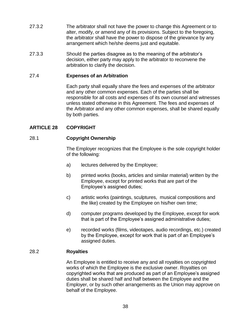- 27.3.2 The arbitrator shall not have the power to change this Agreement or to alter, modify, or amend any of its provisions. Subject to the foregoing, the arbitrator shall have the power to dispose of the grievance by any arrangement which he/she deems just and equitable.
- 27.3.3 Should the parties disagree as to the meaning of the arbitrator's decision, either party may apply to the arbitrator to reconvene the arbitration to clarify the decision.

## <span id="page-42-0"></span>27.4 **Expenses of an Arbitration**

Each party shall equally share the fees and expenses of the arbitrator and any other common expenses. Each of the parties shall be responsible for all costs and expenses of its own counsel and witnesses unless stated otherwise in this Agreement. The fees and expenses of the Arbitrator and any other common expenses, shall be shared equally by both parties.

## <span id="page-42-1"></span>**ARTICLE 28 COPYRIGHT**

## <span id="page-42-2"></span>28.1 **Copyright Ownership**

The Employer recognizes that the Employee is the sole copyright holder of the following:

- a) lectures delivered by the Employee;
- b) printed works (books, articles and similar material) written by the Employee, except for printed works that are part of the Employee's assigned duties;
- c) artistic works (paintings, sculptures, musical compositions and the like) created by the Employee on his/her own time;
- d) computer programs developed by the Employee, except for work that is part of the Employee's assigned administrative duties;
- e) recorded works (films, videotapes, audio recordings, etc.) created by the Employee, except for work that is part of an Employee's assigned duties.

## <span id="page-42-3"></span>28.2 **Royalties**

An Employee is entitled to receive any and all royalties on copyrighted works of which the Employee is the exclusive owner. Royalties on copyrighted works that are produced as part of an Employee's assigned duties shall be shared half and half between the Employee and the Employer, or by such other arrangements as the Union may approve on behalf of the Employee.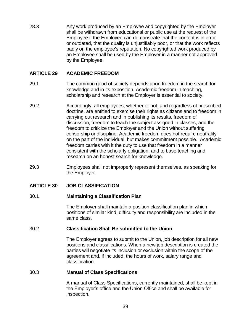28.3 Any work produced by an Employee and copyrighted by the Employer shall be withdrawn from educational or public use at the request of the Employee if the Employee can demonstrate that the content is in error or outdated, that the quality is unjustifiably poor, or that the work reflects badly on the employee's reputation. No copyrighted work produced by an Employee shall be used by the Employer in a manner not approved by the Employee.

## <span id="page-43-0"></span>**ARTICLE 29 ACADEMIC FREEDOM**

- 29.1 The common good of society depends upon freedom in the search for knowledge and in its exposition. Academic freedom in teaching, scholarship and research at the Employer is essential to society.
- 29.2 Accordingly, all employees, whether or not, and regardless of prescribed doctrine, are entitled to exercise their rights as citizens and to freedom in carrying out research and in publishing its results, freedom of discussion, freedom to teach the subject assigned in classes, and the freedom to criticize the Employer and the Union without suffering censorship or discipline. Academic freedom does not require neutrality on the part of the individual, but makes commitment possible. Academic freedom carries with it the duty to use that freedom in a manner consistent with the scholarly obligation, and to base teaching and research on an honest search for knowledge.
- 29.3 Employees shall not improperly represent themselves, as speaking for the Employer.

## <span id="page-43-2"></span><span id="page-43-1"></span>**ARTICLE 30 JOB CLASSIFICATION**

#### 30.1 **Maintaining a Classification Plan**

The Employer shall maintain a position classification plan in which positions of similar kind, difficulty and responsibility are included in the same class.

#### <span id="page-43-3"></span>30.2 **Classification Shall Be submitted to the Union**

The Employer agrees to submit to the Union, job description for all new positions and classifications. When a new job description is created the parties will negotiate its inclusion or exclusion within the scope of the agreement and, if included, the hours of work, salary range and classification.

#### <span id="page-43-4"></span>30.3 **Manual of Class Specifications**

A manual of Class Specifications, currently maintained, shall be kept in the Employer's office and the Union Office and shall be available for inspection.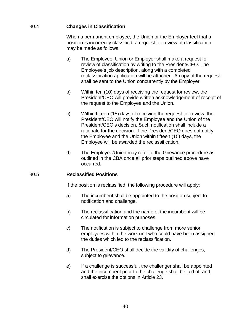## <span id="page-44-0"></span>30.4 **Changes in Classification**

When a permanent employee, the Union or the Employer feel that a position is incorrectly classified, a request for review of classification may be made as follows.

- a) The Employee, Union or Employer shall make a request for review of classification by writing to the President/CEO. The Employee's job description, along with a completed reclassification application will be attached. A copy of the request shall be sent to the Union concurrently by the Employer.
- b) Within ten (10) days of receiving the request for review, the President/CEO will provide written acknowledgement of receipt of the request to the Employee and the Union.
- c) Within fifteen (15) days of receiving the request for review, the President/CEO will notify the Employee and the Union of the President/CEO's decision. Such notification shall include a rationale for the decision. If the President/CEO does not notify the Employee and the Union within fifteen (15) days, the Employee will be awarded the reclassification.
- d) The Employee/Union may refer to the Grievance procedure as outlined in the CBA once all prior steps outlined above have occurred.

## <span id="page-44-1"></span>30.5 **Reclassified Positions**

If the position is reclassified, the following procedure will apply:

- a) The incumbent shall be appointed to the position subject to notification and challenge.
- b) The reclassification and the name of the incumbent will be circulated for information purposes.
- c) The notification is subject to challenge from more senior employees within the work unit who could have been assigned the duties which led to the reclassification.
- d) The President/CEO shall decide the validity of challenges, subject to grievance.
- e) If a challenge is successful, the challenger shall be appointed and the incumbent prior to the challenge shall be laid off and shall exercise the options in Article 23.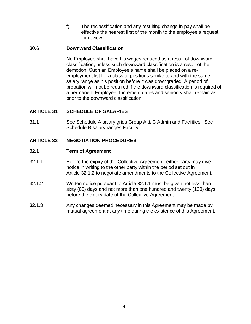f) The reclassification and any resulting change in pay shall be effective the nearest first of the month to the employee's request for review.

## <span id="page-45-0"></span>30.6 **Downward Classification**

No Employee shall have his wages reduced as a result of downward classification, unless such downward classification is a result of the demotion. Such an Employee's name shall be placed on a reemployment list for a class of positions similar to and with the same salary range as his position before it was downgraded. A period of probation will not be required if the downward classification is required of a permanent Employee. Increment dates and seniority shall remain as prior to the downward classification.

## <span id="page-45-1"></span>**ARTICLE 31 SCHEDULE OF SALARIES**

31.1 See Schedule A salary grids Group A & C Admin and Facilities. See Schedule B salary ranges Faculty.

## <span id="page-45-2"></span>**ARTICLE 32 NEGOTIATION PROCEDURES**

#### <span id="page-45-3"></span>32.1 **Term of Agreement**

- 32.1.1 Before the expiry of the Collective Agreement, either party may give notice in writing to the other party within the period set out in Article 32.1.2 to negotiate amendments to the Collective Agreement.
- 32.1.2 Written notice pursuant to Article 32.1.1 must be given not less than sixty (60) days and not more than one hundred and twenty (120) days before the expiry date of the Collective Agreement.
- 32.1.3 Any changes deemed necessary in this Agreement may be made by mutual agreement at any time during the existence of this Agreement.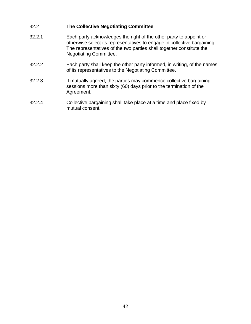## <span id="page-46-0"></span>32.2 **The Collective Negotiating Committee**

- 32.2.1 Each party acknowledges the right of the other party to appoint or otherwise select its representatives to engage in collective bargaining. The representatives of the two parties shall together constitute the Negotiating Committee.
- 32.2.2 Each party shall keep the other party informed, in writing, of the names of its representatives to the Negotiating Committee.
- 32.2.3 If mutually agreed, the parties may commence collective bargaining sessions more than sixty (60) days prior to the termination of the Agreement.
- 32.2.4 Collective bargaining shall take place at a time and place fixed by mutual consent.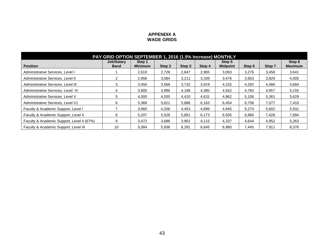#### **APPENDIX A WAGE GRIDS**

<span id="page-47-0"></span>

| PAY GRID OPTION SEPTEMBER 1, 2016 (1.5% Increase) MONTHLY |                                  |                          |        |        |        |                           |        |        |                          |
|-----------------------------------------------------------|----------------------------------|--------------------------|--------|--------|--------|---------------------------|--------|--------|--------------------------|
| <b>Position</b>                                           | <b>Job/Salary</b><br><b>Band</b> | Step 1<br><b>Minimum</b> | Step 2 | Step 3 | Step 4 | Step 5<br><b>Midpoint</b> | Step 6 | Step 7 | Step 8<br><b>Maximum</b> |
| Administrative Services, Level I                          |                                  | 2,610                    | 2,728  | 2,847  | 2,965  | 3,093                     | 3,276  | 3,458  | 3,641                    |
| Administrative Services, Level II                         |                                  | 2,956                    | 3,084  | 3,211  | 3,339  | 3,476                     | 3,653  | 3,829  | 4,005                    |
| Administrative Services, Level III                        | 3                                | 3,450                    | 3,568  | 3,732  | 3,919  | 4,102                     | 4,292  | 4,486  | 4,684                    |
| Administrative Services, Level IV                         | 4                                | 3,805                    | 3,996  | 4,188  | 4,380  | 4,562                     | 4,760  | 4,957  | 5,155                    |
| Administrative Services, Level V                          | 5.                               | 4,000                    | 4,200  | 4,410  | 4,631  | 4,862                     | 5,106  | 5,361  | 5,629                    |
| Administrative Services, Level V1                         | 6                                | 5,368                    | 5,621  | 5,886  | 6,163  | 6,454                     | 6,758  | 7,077  | 7,410                    |
| Faculty & Academic Support, Level I                       |                                  | 3,960                    | 4,206  | 4,453  | 4.699  | 4.945                     | 5,274  | 5,602  | 5,931                    |
| Faculty & Academic Support, Level II                      | 8                                | 5,207                    | 5,529  | 5,851  | 6.173  | 6,505                     | 6,966  | 7,428  | 7,894                    |
| Faculty & Academic Support, Level II (67%)                | 9                                | 3.472                    | 3,686  | 3.901  | 4.115  | 4.337                     | 4.644  | 4,952  | 5,263                    |
| Faculty & Academic Support, Level III                     | 10                               | 5,584                    | 5,938  | 6,291  | 6,645  | 6,980                     | 7.445  | 7,911  | 8,376                    |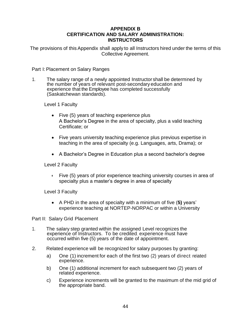## **APPENDIX B CERTIFICATION AND SALARY ADMINISTRATION: INSTRUCTORS**

<span id="page-48-0"></span>The provisions of this Appendix shall apply to all Instructors hired under the terms of this Collective Agreement.

Part I: Placement on Salary Ranges

1. The salary range of a newly appointed Instructor shall be determined by the number of years of relevant post-secondary education and experience that the Employee has completed successfully (Saskatchewan standards).

Level 1 Faculty

- Five (5) years of teaching experience plus A Bachelor's Degree in the area of specialty, plus a valid teaching Certificate; or
- Five years university teaching experience plus previous expertise in teaching in the area of specialty (e.g. Languages, arts, Drama); or
- A Bachelor's Degree in Education plus a second bachelor's degree

Level 2 Faculty

 Five (5) years of prior experience teaching university courses in area of specialty plus a master's degree in area of specialty

Level 3 Faculty

 A PHD in the area of specialty with a minimum of five (**5)** years' experience teaching at NORTEP-NORPAC or within a University

Part II: Salary Grid Placement

- 1. The salary step granted within the assigned Level recognizes the experience of Instructors. To be credited, experience must have occurred within five (5) years of the date of appointment.
- 2. Related experience will be recognized for salary purposes by granting:
	- a) One (1) increment for each of the first two (2) years of direct related experience.
	- b) One (1) additional increment for each subsequent two (2) years of related experience.
	- c) Experience increments will be granted to the maximum of the mid grid of the appropriate band.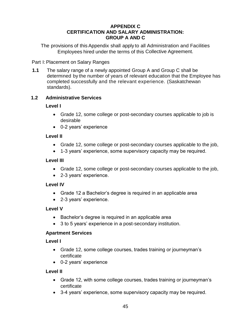## **APPENDIX C CERTIFICATION AND SALARY ADMINISTRATION: GROUP A AND C**

<span id="page-49-0"></span>The provisions of this Appendix shall apply to all Administration and Facilities Employees hired under the terms of this Collective Agreement.

Part I: Placement on Salary Ranges

**1.1** The salary range of a newly appointed Group A and Group C shall be determined by the number of years of relevant education that the Employee has completed successfully and the relevant experience. (Saskatchewan standards).

## **1.2 Administrative Services**

## **Level I**

- Grade 12, some college or post-secondary courses applicable to job is desirable
- 0-2 years' experience

## **Level II**

- Grade 12, some college or post-secondary courses applicable to the job,
- 1-3 years' experience, some supervisory capacity may be required.

## **Level III**

- Grade 12, some college or post-secondary courses applicable to the job,
- 2-3 years' experience.

## **Level IV**

- Grade 12 a Bachelor's degree is required in an applicable area
- 2-3 years' experience.

## **Level V**

- Bachelor's degree is required in an applicable area
- 3 to 5 years' experience in a post-secondary institution.

## **Apartment Services**

## **Level I**

- Grade 12, some college courses, trades training or journeyman's certificate
- 0-2 years' experience

## **Level II**

- Grade 12, with some college courses, trades training or journeyman's certificate
- 3-4 years' experience, some supervisory capacity may be required.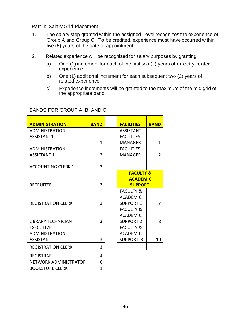Part II: Salary Grid Placement

- 1. The salary step granted within the assigned Level recognizes the experience of Group A and Group C. To be credited, experience must have occurred within five (5) years of the date of appointment.
- 2. Related experience will be recognized for salary purposes by granting:
	- a) One (1) increment for each of the first two (2) years of directly related experience.
	- b) One (1) additional increment for each subsequent two (2) years of related experience.
	- c) Experience increments will be granted to the maximum of the mid grid of the appropriate band.

## BANDS FOR GROUP A, B, AND C.

| <b>ADMINISTRATION</b>     | <b>BAND</b>                                                                                                             |                  | <b>FACILITIES</b>    | <b>BAND</b>                                                                                                                                                       |  |
|---------------------------|-------------------------------------------------------------------------------------------------------------------------|------------------|----------------------|-------------------------------------------------------------------------------------------------------------------------------------------------------------------|--|
| <b>ADMINISTRATION</b>     |                                                                                                                         |                  | <b>ASSISTANT</b>     |                                                                                                                                                                   |  |
| ASSISTANT1                |                                                                                                                         |                  | <b>FACILITIES</b>    |                                                                                                                                                                   |  |
|                           | $\mathbf{1}$                                                                                                            |                  | <b>MANAGER</b>       | $\mathbf{1}$                                                                                                                                                      |  |
| <b>ADMINISTRATION</b>     |                                                                                                                         |                  | <b>FACILITIES</b>    |                                                                                                                                                                   |  |
| <b>ASSISTANT 11</b>       | $\overline{2}$                                                                                                          |                  | <b>MANAGER</b>       | $\overline{2}$                                                                                                                                                    |  |
|                           |                                                                                                                         |                  |                      |                                                                                                                                                                   |  |
| <b>ACCOUNTING CLERK 1</b> | 3                                                                                                                       |                  |                      |                                                                                                                                                                   |  |
|                           |                                                                                                                         |                  | <b>FACULTY &amp;</b> |                                                                                                                                                                   |  |
|                           |                                                                                                                         |                  | <b>ACADEMIC</b>      |                                                                                                                                                                   |  |
|                           |                                                                                                                         |                  | <b>SUPPORT'</b>      |                                                                                                                                                                   |  |
|                           |                                                                                                                         |                  | <b>FACULTY &amp;</b> |                                                                                                                                                                   |  |
|                           |                                                                                                                         |                  |                      |                                                                                                                                                                   |  |
|                           |                                                                                                                         |                  |                      | 7                                                                                                                                                                 |  |
|                           |                                                                                                                         |                  |                      |                                                                                                                                                                   |  |
|                           |                                                                                                                         |                  |                      |                                                                                                                                                                   |  |
|                           |                                                                                                                         |                  |                      | 8                                                                                                                                                                 |  |
| <b>EXECUTIVE</b>          |                                                                                                                         |                  |                      |                                                                                                                                                                   |  |
|                           |                                                                                                                         |                  |                      |                                                                                                                                                                   |  |
|                           |                                                                                                                         |                  |                      | 10                                                                                                                                                                |  |
| <b>REGISTRATION CLERK</b> | 3                                                                                                                       |                  |                      |                                                                                                                                                                   |  |
| <b>REGISTRAR</b>          | 4                                                                                                                       |                  |                      |                                                                                                                                                                   |  |
| NETWORK ADMINISTRATOR     | 6                                                                                                                       |                  |                      |                                                                                                                                                                   |  |
| <b>BOOKSTORE CLERK</b>    | 1                                                                                                                       |                  |                      |                                                                                                                                                                   |  |
|                           | <b>RECRUITER</b><br><b>REGISTRATION CLERK</b><br><b>LIBRARY TECHNICIAN</b><br><b>ADMINISTRATION</b><br><b>ASSISTANT</b> | 3<br>3<br>3<br>3 |                      | <b>ACADEMIC</b><br><b>SUPPORT 1</b><br><b>FACULTY &amp;</b><br><b>ACADEMIC</b><br><b>SUPPORT 2</b><br><b>FACULTY &amp;</b><br><b>ACADEMIC</b><br><b>SUPPORT 3</b> |  |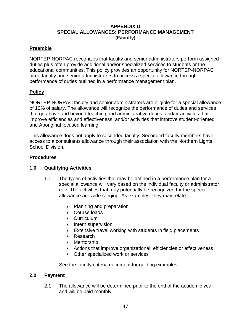## **APPENDIX D SPECIAL ALLOWANCES: PERFORMANCE MANAGEMENT (Faculty)**

## <span id="page-51-0"></span>**Preamble**

NORTEP-NORPAC recognizes that faculty and senior administrators perform assigned duties plus often provide additional and/or specialized services to students or the educational communities. This policy provides an opportunity for NORTEP-NORPAC hired faculty and senior administrators to access a special allowance through performance of duties outlined in a performance management plan.

## **Policy**

NORTEP-NORPAC faculty and senior administrators are eligible for a special allowance of 10% of salary. The allowance will recognize the performance of duties and services that go above and beyond teaching and administrative duties, and/or activities that improve efficiencies and effectiveness, and/or activities that improve student-oriented and Aboriginal focused learning.

This allowance does not apply to seconded faculty. Seconded faculty members have access to a consultants allowance through their association with the Northern Lights School Division.

## **Procedures**

## **1.0 Qualifying Activities**

- 1.1 The types of activities that may be defined in a performance plan for a special allowance will vary based on the individual faculty or administrator role. The activities that may potentially be recognized for the special allowance are wide ranging. As examples, they may relate to
	- Planning and preparation
	- Course loads
	- Curriculum
	- Intern supervision
	- Extensive travel working with students in field placements
	- Research
	- Mentorship
	- Actions that improve organizational efficiencies or effectiveness
	- Other specialized work or services

See the faculty criteria document for guiding examples.

## **2.0 Payment**

2.1 The allowance will be determined prior to the end of the academic year and will be paid monthly.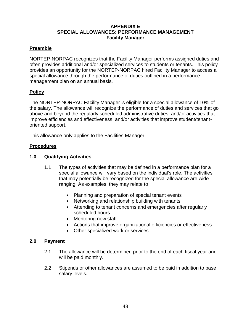## **APPENDIX E SPECIAL ALLOWANCES: PERFORMANCE MANAGEMENT Facility Manager**

## <span id="page-52-0"></span>**Preamble**

NORTEP-NORPAC recognizes that the Facility Manager performs assigned duties and often provides additional and/or specialized services to students or tenants. This policy provides an opportunity for the NORTEP-NORPAC hired Facility Manager to access a special allowance through the performance of duties outlined in a performance management plan on an annual basis.

## **Policy**

The NORTEP-NORPAC Facility Manager is eligible for a special allowance of 10% of the salary. The allowance will recognize the performance of duties and services that go above and beyond the regularly scheduled administrative duties, and/or activities that improve efficiencies and effectiveness, and/or activities that improve student/tenantoriented support.

This allowance only applies to the Facilities Manager.

## **Procedures**

## **1.0 Qualifying Activities**

- 1.1 The types of activities that may be defined in a performance plan for a special allowance will vary based on the individual's role. The activities that may potentially be recognized for the special allowance are wide ranging. As examples, they may relate to
	- Planning and preparation of special tenant events
	- Networking and relationship building with tenants
	- Attending to tenant concerns and emergencies after regularly scheduled hours
	- Mentoring new staff
	- Actions that improve organizational efficiencies or effectiveness
	- Other specialized work or services

## **2.0 Payment**

- 2.1 The allowance will be determined prior to the end of each fiscal year and will be paid monthly.
- 2.2 Stipends or other allowances are assumed to be paid in addition to base salary levels.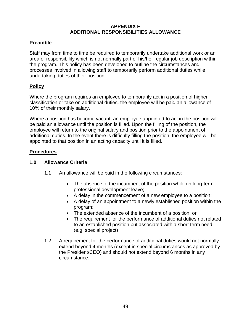## **APPENDIX F ADDITIONAL RESPONSIBILITIES ALLOWANCE**

## <span id="page-53-0"></span>**Preamble**

Staff may from time to time be required to temporarily undertake additional work or an area of responsibility which is not normally part of his/her regular job description within the program. This policy has been developed to outline the circumstances and processes involved in allowing staff to temporarily perform additional duties while undertaking duties of their position.

## **Policy**

Where the program requires an employee to temporarily act in a position of higher classification or take on additional duties, the employee will be paid an allowance of 10% of their monthly salary.

Where a position has become vacant, an employee appointed to act in the position will be paid an allowance until the position is filled. Upon the filling of the position, the employee will return to the original salary and position prior to the appointment of additional duties. In the event there is difficulty filling the position, the employee will be appointed to that position in an acting capacity until it is filled.

## **Procedures**

## **1.0 Allowance Criteria**

- 1.1 An allowance will be paid in the following circumstances:
	- The absence of the incumbent of the position while on long-term professional development leave;
	- A delay in the commencement of a new employee to a position;
	- A delay of an appointment to a newly established position within the program;
	- The extended absence of the incumbent of a position; or
	- The requirement for the performance of additional duties not related to an established position but associated with a short term need (e.g. special project)
- 1.2 A requirement for the performance of additional duties would not normally extend beyond 4 months (except in special circumstances as approved by the President/CEO) and should not extend beyond 6 months in any circumstance.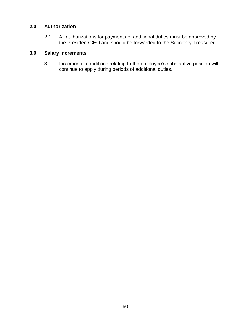## **2.0 Authorization**

2.1 All authorizations for payments of additional duties must be approved by the President/CEO and should be forwarded to the Secretary-Treasurer.

## **3.0 Salary Increments**

3.1 Incremental conditions relating to the employee's substantive position will continue to apply during periods of additional duties.